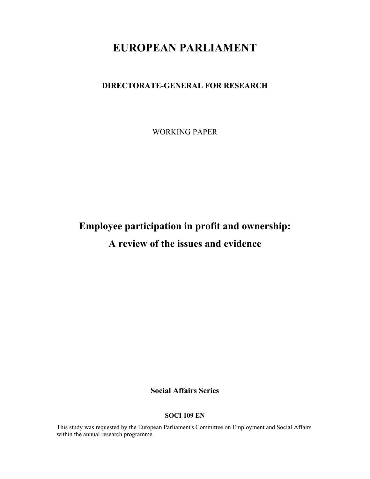# EUROPEAN PARLIAMENT

# DIRECTORATE-GENERAL FOR RESEARCH

WORKING PAPER

# Employee participation in profit and ownership: A review of the issues and evidence

# Social Affairs Series

#### SOCI 109 EN

This study was requested by the European Parliament's Committee on Employment and Social Affairs within the annual research programme.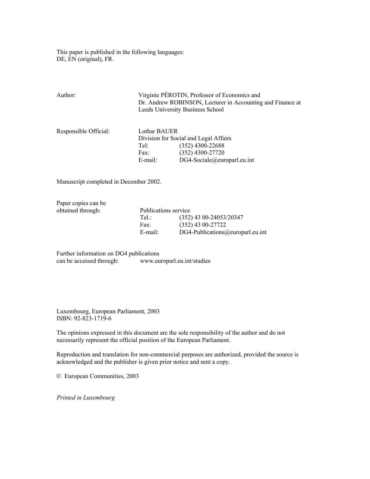This paper is published in the following languages: DE, EN (original), FR.

| Author:               | Virginie PÉROTIN, Professor of Economics and<br>Dr. Andrew ROBINSON, Lecturer in Accounting and Finance at |                                  |  |
|-----------------------|------------------------------------------------------------------------------------------------------------|----------------------------------|--|
|                       |                                                                                                            | Leeds University Business School |  |
| Responsible Official: | Lothar BAUER                                                                                               |                                  |  |
|                       | Division for Social and Legal Affairs                                                                      |                                  |  |
|                       | Tel:                                                                                                       | $(352)$ 4300-22688               |  |
|                       | Fax:                                                                                                       | $(352)$ 4300-27720               |  |
|                       | E-mail:                                                                                                    | DG4-Sociale@europarl.eu.int      |  |
|                       |                                                                                                            |                                  |  |

Manuscript completed in December 2002.

Paper copies can be obtained through:

| obtained through: | Publications service |                                     |  |
|-------------------|----------------------|-------------------------------------|--|
|                   | Tel:                 | $(352)$ 43 00-24053/20347           |  |
|                   | Fax:                 | $(352)$ 43 00-27722                 |  |
|                   | E-mail:              | $DG4$ -Publications@europarl.eu.int |  |

Further information on DG4 publications<br>can be accessed through: www.eu www.europarl.eu.int/studies

Luxembourg, European Parliament, 2003 ISBN: 92-823-1719-6

The opinions expressed in this document are the sole responsibility of the author and do not necessarily represent the official position of the European Parliament.

Reproduction and translation for non-commercial purposes are authorized, provided the source is acknowledged and the publisher is given prior notice and sent a copy.

© European Communities, 2003

Printed in Luxembourg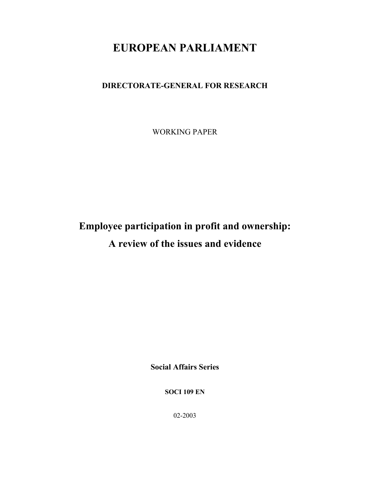# EUROPEAN PARLIAMENT

# DIRECTORATE-GENERAL FOR RESEARCH

WORKING PAPER

# Employee participation in profit and ownership: A review of the issues and evidence

Social Affairs Series

SOCI 109 EN

02-2003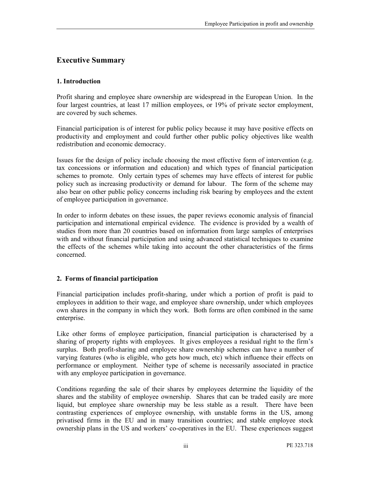# Executive Summary

#### 1. Introduction

Profit sharing and employee share ownership are widespread in the European Union. In the four largest countries, at least 17 million employees, or 19% of private sector employment, are covered by such schemes.

Financial participation is of interest for public policy because it may have positive effects on productivity and employment and could further other public policy objectives like wealth redistribution and economic democracy.

Issues for the design of policy include choosing the most effective form of intervention (e.g. tax concessions or information and education) and which types of financial participation schemes to promote. Only certain types of schemes may have effects of interest for public policy such as increasing productivity or demand for labour. The form of the scheme may also bear on other public policy concerns including risk bearing by employees and the extent of employee participation in governance.

In order to inform debates on these issues, the paper reviews economic analysis of financial participation and international empirical evidence. The evidence is provided by a wealth of studies from more than 20 countries based on information from large samples of enterprises with and without financial participation and using advanced statistical techniques to examine the effects of the schemes while taking into account the other characteristics of the firms concerned.

#### 2. Forms of financial participation

Financial participation includes profit-sharing, under which a portion of profit is paid to employees in addition to their wage, and employee share ownership, under which employees own shares in the company in which they work. Both forms are often combined in the same enterprise.

Like other forms of employee participation, financial participation is characterised by a sharing of property rights with employees. It gives employees a residual right to the firm's surplus. Both profit-sharing and employee share ownership schemes can have a number of varying features (who is eligible, who gets how much, etc) which influence their effects on performance or employment. Neither type of scheme is necessarily associated in practice with any employee participation in governance.

Conditions regarding the sale of their shares by employees determine the liquidity of the shares and the stability of employee ownership. Shares that can be traded easily are more liquid, but employee share ownership may be less stable as a result. There have been contrasting experiences of employee ownership, with unstable forms in the US, among privatised firms in the EU and in many transition countries; and stable employee stock ownership plans in the US and workers' co-operatives in the EU. These experiences suggest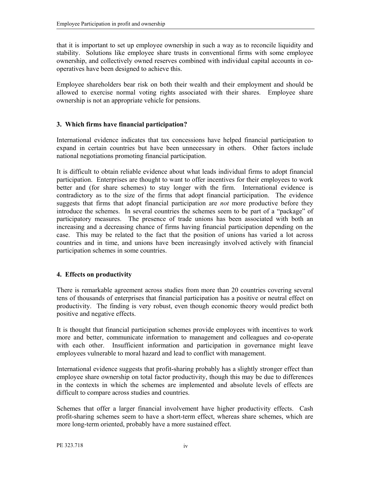that it is important to set up employee ownership in such a way as to reconcile liquidity and stability. Solutions like employee share trusts in conventional firms with some employee ownership, and collectively owned reserves combined with individual capital accounts in cooperatives have been designed to achieve this.

Employee shareholders bear risk on both their wealth and their employment and should be allowed to exercise normal voting rights associated with their shares. Employee share ownership is not an appropriate vehicle for pensions.

#### 3. Which firms have financial participation?

International evidence indicates that tax concessions have helped financial participation to expand in certain countries but have been unnecessary in others. Other factors include national negotiations promoting financial participation.

It is difficult to obtain reliable evidence about what leads individual firms to adopt financial participation. Enterprises are thought to want to offer incentives for their employees to work better and (for share schemes) to stay longer with the firm. International evidence is contradictory as to the size of the firms that adopt financial participation. The evidence suggests that firms that adopt financial participation are *not* more productive before they introduce the schemes. In several countries the schemes seem to be part of a "package" of participatory measures. The presence of trade unions has been associated with both an increasing and a decreasing chance of firms having financial participation depending on the case. This may be related to the fact that the position of unions has varied a lot across countries and in time, and unions have been increasingly involved actively with financial participation schemes in some countries.

#### 4. Effects on productivity

There is remarkable agreement across studies from more than 20 countries covering several tens of thousands of enterprises that financial participation has a positive or neutral effect on productivity. The finding is very robust, even though economic theory would predict both positive and negative effects.

It is thought that financial participation schemes provide employees with incentives to work more and better, communicate information to management and colleagues and co-operate with each other. Insufficient information and participation in governance might leave employees vulnerable to moral hazard and lead to conflict with management.

International evidence suggests that profit-sharing probably has a slightly stronger effect than employee share ownership on total factor productivity, though this may be due to differences in the contexts in which the schemes are implemented and absolute levels of effects are difficult to compare across studies and countries.

Schemes that offer a larger financial involvement have higher productivity effects. Cash profit-sharing schemes seem to have a short-term effect, whereas share schemes, which are more long-term oriented, probably have a more sustained effect.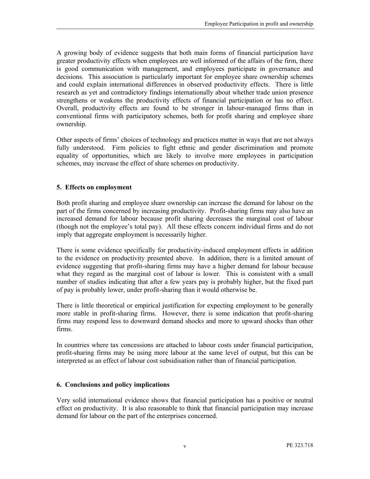A growing body of evidence suggests that both main forms of financial participation have greater productivity effects when employees are well informed of the affairs of the firm, there is good communication with management, and employees participate in governance and decisions. This association is particularly important for employee share ownership schemes and could explain international differences in observed productivity effects. There is little research as yet and contradictory findings internationally about whether trade union presence strengthens or weakens the productivity effects of financial participation or has no effect. Overall, productivity effects are found to be stronger in labour-managed firms than in conventional firms with participatory schemes, both for profit sharing and employee share ownership.

Other aspects of firms' choices of technology and practices matter in ways that are not always fully understood. Firm policies to fight ethnic and gender discrimination and promote equality of opportunities, which are likely to involve more employees in participation schemes, may increase the effect of share schemes on productivity.

#### 5. Effects on employment

Both profit sharing and employee share ownership can increase the demand for labour on the part of the firms concerned by increasing productivity. Profit-sharing firms may also have an increased demand for labour because profit sharing decreases the marginal cost of labour (though not the employee's total pay). All these effects concern individual firms and do not imply that aggregate employment is necessarily higher.

There is some evidence specifically for productivity-induced employment effects in addition to the evidence on productivity presented above. In addition, there is a limited amount of evidence suggesting that profit-sharing firms may have a higher demand for labour because what they regard as the marginal cost of labour is lower. This is consistent with a small number of studies indicating that after a few years pay is probably higher, but the fixed part of pay is probably lower, under profit-sharing than it would otherwise be.

There is little theoretical or empirical justification for expecting employment to be generally more stable in profit-sharing firms. However, there is some indication that profit-sharing firms may respond less to downward demand shocks and more to upward shocks than other firms.

In countries where tax concessions are attached to labour costs under financial participation, profit-sharing firms may be using more labour at the same level of output, but this can be interpreted as an effect of labour cost subsidisation rather than of financial participation.

#### 6. Conclusions and policy implications

Very solid international evidence shows that financial participation has a positive or neutral effect on productivity. It is also reasonable to think that financial participation may increase demand for labour on the part of the enterprises concerned.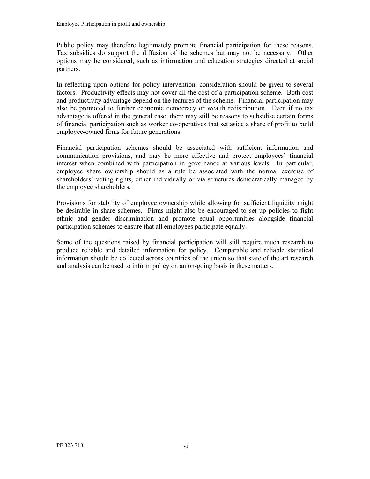Public policy may therefore legitimately promote financial participation for these reasons. Tax subsidies do support the diffusion of the schemes but may not be necessary. Other options may be considered, such as information and education strategies directed at social partners.

In reflecting upon options for policy intervention, consideration should be given to several factors. Productivity effects may not cover all the cost of a participation scheme. Both cost and productivity advantage depend on the features of the scheme. Financial participation may also be promoted to further economic democracy or wealth redistribution. Even if no tax advantage is offered in the general case, there may still be reasons to subsidise certain forms of financial participation such as worker co-operatives that set aside a share of profit to build employee-owned firms for future generations.

Financial participation schemes should be associated with sufficient information and communication provisions, and may be more effective and protect employees' financial interest when combined with participation in governance at various levels. In particular, employee share ownership should as a rule be associated with the normal exercise of shareholders' voting rights, either individually or via structures democratically managed by the employee shareholders.

Provisions for stability of employee ownership while allowing for sufficient liquidity might be desirable in share schemes. Firms might also be encouraged to set up policies to fight ethnic and gender discrimination and promote equal opportunities alongside financial participation schemes to ensure that all employees participate equally.

Some of the questions raised by financial participation will still require much research to produce reliable and detailed information for policy. Comparable and reliable statistical information should be collected across countries of the union so that state of the art research and analysis can be used to inform policy on an on-going basis in these matters.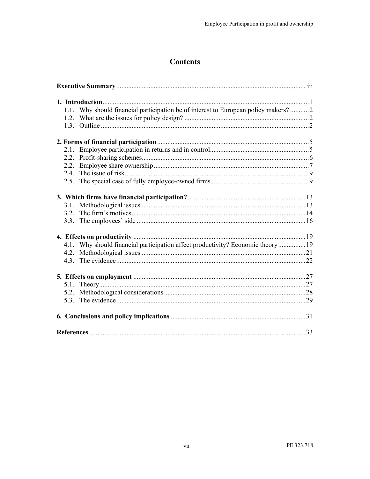# **Contents**

| 1.1. Why should financial participation be of interest to European policy makers?2 |  |  |
|------------------------------------------------------------------------------------|--|--|
|                                                                                    |  |  |
|                                                                                    |  |  |
|                                                                                    |  |  |
|                                                                                    |  |  |
| 2.1.                                                                               |  |  |
|                                                                                    |  |  |
| 2.2.                                                                               |  |  |
|                                                                                    |  |  |
|                                                                                    |  |  |
|                                                                                    |  |  |
|                                                                                    |  |  |
|                                                                                    |  |  |
|                                                                                    |  |  |
|                                                                                    |  |  |
|                                                                                    |  |  |
| 4.1. Why should financial participation affect productivity? Economic theory 19    |  |  |
|                                                                                    |  |  |
|                                                                                    |  |  |
|                                                                                    |  |  |
|                                                                                    |  |  |
|                                                                                    |  |  |
|                                                                                    |  |  |
|                                                                                    |  |  |
|                                                                                    |  |  |
|                                                                                    |  |  |
|                                                                                    |  |  |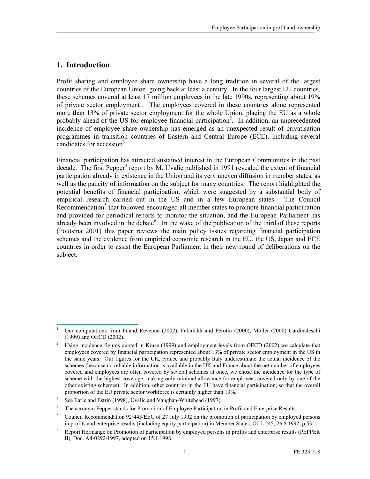### 1. Introduction

Profit sharing and employee share ownership have a long tradition in several of the largest countries of the European Union, going back at least a century. In the four largest EU countries, these schemes covered at least 17 million employees in the late 1990s, representing about 19% of private sector employment<sup>1</sup>. The employees covered in these countries alone represented more than 13% of private sector employment for the whole Union, placing the EU as a whole probably ahead of the US for employee financial participation<sup>2</sup>. In addition, an unprecedented incidence of employee share ownership has emerged as an unexpected result of privatisation programmes in transition countries of Eastern and Central Europe (ECE), including several candidates for accession<sup>3</sup>.

Financial participation has attracted sustained interest in the European Communities in the past decade. The first Pepper<sup>4</sup> report by M. Uvalic published in 1991 revealed the extent of financial participation already in existence in the Union and its very uneven diffusion in member states, as well as the paucity of information on the subject for many countries. The report highlighted the potential benefits of financial participation, which were suggested by a substantial body of empirical research carried out in the US and in a few European states. The Council Recommendation<sup>5</sup> that followed encouraged all member states to promote financial participation and provided for periodical reports to monitor the situation, and the European Parliament has already been involved in the debate<sup>6</sup>. In the wake of the publication of the third of these reports (Poutsma 2001) this paper reviews the main policy issues regarding financial participation schemes and the evidence from empirical economic research in the EU, the US, Japan and ECE countries in order to assist the European Parliament in their new round of deliberations on the subject.

<sup>-</sup>1 Our computations from Inland Revenue (2002), Fakhfakh and Pérotin (2000), Möller (2000) Cardinaleschi (1999) and OECD (2002).

<sup>2</sup> Using incidence figures quoted in Kruse (1999) and employment levels from OECD (2002) we calculate that employees covered by financial participation represented about 13% of private sector employment in the US in the same years. Our figures for the UK, France and probably Italy underestimate the actual incidence of the schemes (because no reliable information is available in the UK and France about the net number of employees covered and employees are often covered by several schemes at once, we chose the incidence for the type of scheme with the highest coverage, making only minimal allowance for employees covered only by one of the other existing schemes). In addition, other countries in the EU have financial participation, so that the overall proportion of the EU private sector workforce is certainly higher than 13%.

<sup>3</sup> See Earle and Estrin (1998), Uvalic and Vaughan-Whitehead (1997).

<sup>4</sup> The acronym Pepper stands for Promotion of Employee Participation in Profit and Enterprise Results.

<sup>5</sup> Council Recommendation 92/443/EEC of 27 July 1992 on the promotion of participation by employed persons in profits and enterprise results (including equity participation) in Member States, OJ L 245, 26.8.1992, p.53.

<sup>6</sup> Report Hermange on Promotion of participation by employed persons in profits and enterprise results (PEPPER II), Doc. A4-0292/1997, adopted on 15.1.1998.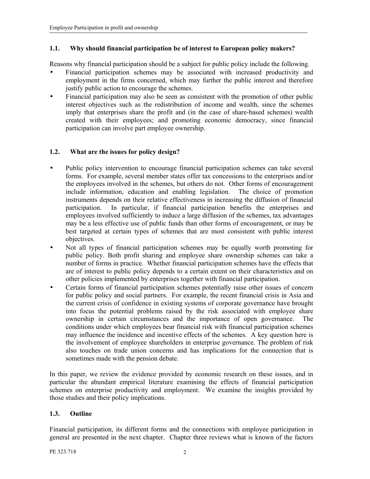#### 1.1. Why should financial participation be of interest to European policy makers?

Reasons why financial participation should be a subject for public policy include the following.

- Financial participation schemes may be associated with increased productivity and employment in the firms concerned, which may further the public interest and therefore justify public action to encourage the schemes.
- Financial participation may also be seen as consistent with the promotion of other public interest objectives such as the redistribution of income and wealth, since the schemes imply that enterprises share the profit and (in the case of share-based schemes) wealth created with their employees; and promoting economic democracy, since financial participation can involve part employee ownership.

#### 1.2. What are the issues for policy design?

- Public policy intervention to encourage financial participation schemes can take several forms. For example, several member states offer tax concessions to the enterprises and/or the employees involved in the schemes, but others do not. Other forms of encouragement include information, education and enabling legislation. The choice of promotion instruments depends on their relative effectiveness in increasing the diffusion of financial participation. In particular, if financial participation benefits the enterprises and employees involved sufficiently to induce a large diffusion of the schemes, tax advantages may be a less effective use of public funds than other forms of encouragement, or may be best targeted at certain types of schemes that are most consistent with public interest objectives.
- Not all types of financial participation schemes may be equally worth promoting for public policy. Both profit sharing and employee share ownership schemes can take a number of forms in practice. Whether financial participation schemes have the effects that are of interest to public policy depends to a certain extent on their characteristics and on other policies implemented by enterprises together with financial participation.
- Certain forms of financial participation schemes potentially raise other issues of concern for public policy and social partners. For example, the recent financial crisis in Asia and the current crisis of confidence in existing systems of corporate governance have brought into focus the potential problems raised by the risk associated with employee share ownership in certain circumstances and the importance of open governance. The conditions under which employees bear financial risk with financial participation schemes may influence the incidence and incentive effects of the schemes. A key question here is the involvement of employee shareholders in enterprise governance. The problem of risk also touches on trade union concerns and has implications for the connection that is sometimes made with the pension debate.

In this paper, we review the evidence provided by economic research on these issues, and in particular the abundant empirical literature examining the effects of financial participation schemes on enterprise productivity and employment. We examine the insights provided by those studies and their policy implications.

#### 1.3. Outline

Financial participation, its different forms and the connections with employee participation in general are presented in the next chapter. Chapter three reviews what is known of the factors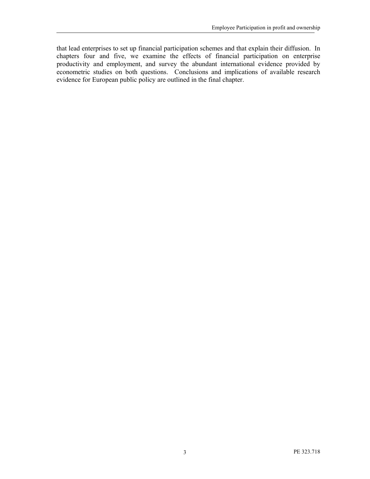that lead enterprises to set up financial participation schemes and that explain their diffusion. In chapters four and five, we examine the effects of financial participation on enterprise productivity and employment, and survey the abundant international evidence provided by econometric studies on both questions. Conclusions and implications of available research evidence for European public policy are outlined in the final chapter.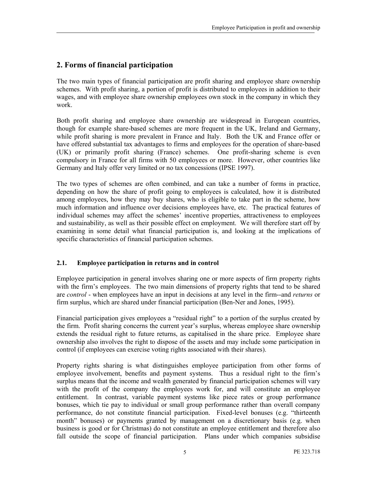# 2. Forms of financial participation

The two main types of financial participation are profit sharing and employee share ownership schemes. With profit sharing, a portion of profit is distributed to employees in addition to their wages, and with employee share ownership employees own stock in the company in which they work.

Both profit sharing and employee share ownership are widespread in European countries, though for example share-based schemes are more frequent in the UK, Ireland and Germany, while profit sharing is more prevalent in France and Italy. Both the UK and France offer or have offered substantial tax advantages to firms and employees for the operation of share-based (UK) or primarily profit sharing (France) schemes. One profit-sharing scheme is even compulsory in France for all firms with 50 employees or more. However, other countries like Germany and Italy offer very limited or no tax concessions (IPSE 1997).

The two types of schemes are often combined, and can take a number of forms in practice, depending on how the share of profit going to employees is calculated, how it is distributed among employees, how they may buy shares, who is eligible to take part in the scheme, how much information and influence over decisions employees have, etc. The practical features of individual schemes may affect the schemes' incentive properties, attractiveness to employees and sustainability, as well as their possible effect on employment. We will therefore start off by examining in some detail what financial participation is, and looking at the implications of specific characteristics of financial participation schemes.

#### 2.1. Employee participation in returns and in control

Employee participation in general involves sharing one or more aspects of firm property rights with the firm's employees. The two main dimensions of property rights that tend to be shared are *control* - when employees have an input in decisions at any level in the firm--and *returns* or firm surplus, which are shared under financial participation (Ben-Ner and Jones, 1995).

Financial participation gives employees a "residual right" to a portion of the surplus created by the firm. Profit sharing concerns the current year's surplus, whereas employee share ownership extends the residual right to future returns, as capitalised in the share price. Employee share ownership also involves the right to dispose of the assets and may include some participation in control (if employees can exercise voting rights associated with their shares).

Property rights sharing is what distinguishes employee participation from other forms of employee involvement, benefits and payment systems. Thus a residual right to the firm's surplus means that the income and wealth generated by financial participation schemes will vary with the profit of the company the employees work for, and will constitute an employee entitlement. In contrast, variable payment systems like piece rates or group performance bonuses, which tie pay to individual or small group performance rather than overall company performance, do not constitute financial participation. Fixed-level bonuses (e.g. "thirteenth month" bonuses) or payments granted by management on a discretionary basis (e.g. when business is good or for Christmas) do not constitute an employee entitlement and therefore also fall outside the scope of financial participation. Plans under which companies subsidise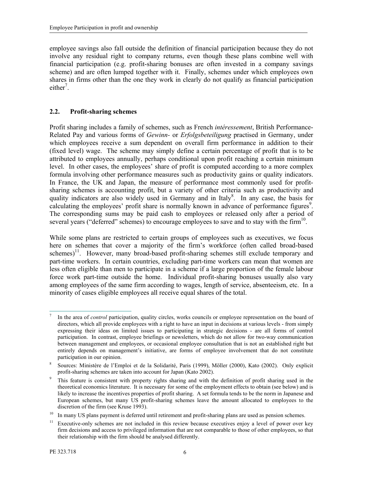employee savings also fall outside the definition of financial participation because they do not involve any residual right to company returns, even though these plans combine well with financial participation (e.g. profit-sharing bonuses are often invested in a company savings scheme) and are often lumped together with it. Finally, schemes under which employees own shares in firms other than the one they work in clearly do not qualify as financial participation either<sup>7</sup>.

#### 2.2. Profit-sharing schemes

Profit sharing includes a family of schemes, such as French *intéressement*, British Performance-Related Pay and various forms of Gewinn- or Erfolgsbeteiligung practised in Germany, under which employees receive a sum dependent on overall firm performance in addition to their (fixed level) wage. The scheme may simply define a certain percentage of profit that is to be attributed to employees annually, perhaps conditional upon profit reaching a certain minimum level. In other cases, the employees' share of profit is computed according to a more complex formula involving other performance measures such as productivity gains or quality indicators. In France, the UK and Japan, the measure of performance most commonly used for profitsharing schemes is accounting profit, but a variety of other criteria such as productivity and quality indicators are also widely used in Germany and in Italy<sup>8</sup>. In any case, the basis for calculating the employees' profit share is normally known in advance of performance figures<sup>9</sup>. The corresponding sums may be paid cash to employees or released only after a period of several years ("deferred" schemes) to encourage employees to save and to stay with the firm $10$ .

While some plans are restricted to certain groups of employees such as executives, we focus here on schemes that cover a majority of the firm's workforce (often called broad-based schemes)<sup>11</sup>. However, many broad-based profit-sharing schemes still exclude temporary and part-time workers. In certain countries, excluding part-time workers can mean that women are less often eligible than men to participate in a scheme if a large proportion of the female labour force work part-time outside the home. Individual profit-sharing bonuses usually also vary among employees of the same firm according to wages, length of service, absenteeism, etc. In a minority of cases eligible employees all receive equal shares of the total.

<sup>1</sup> 7 In the area of *control* participation, quality circles, works councils or employee representation on the board of directors, which all provide employees with a right to have an input in decisions at various levels - from simply expressing their ideas on limited issues to participating in strategic decisions - are all forms of control participation. In contrast, employee briefings or newsletters, which do not allow for two-way communication between management and employees, or occasional employee consultation that is not an established right but entirely depends on management's initiative, are forms of employee involvement that do not constitute participation in our opinion.

<sup>8</sup> Sources: Ministère de l'Emploi et de la Solidarité, Paris (1999), Möller (2000), Kato (2002). Only explicit profit-sharing schemes are taken into account for Japan (Kato 2002).

<sup>9</sup> This feature is consistent with property rights sharing and with the definition of profit sharing used in the theoretical economics literature. It is necessary for some of the employment effects to obtain (see below) and is likely to increase the incentives properties of profit sharing. A set formula tends to be the norm in Japanese and European schemes, but many US profit-sharing schemes leave the amount allocated to employees to the discretion of the firm (see Kruse 1993).

<sup>10</sup> In many US plans payment is deferred until retirement and profit-sharing plans are used as pension schemes.

<sup>&</sup>lt;sup>11</sup> Executive-only schemes are not included in this review because executives enjoy a level of power over key firm decisions and access to privileged information that are not comparable to those of other employees, so that their relationship with the firm should be analysed differently.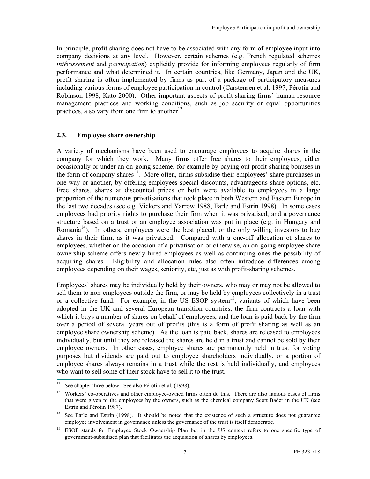In principle, profit sharing does not have to be associated with any form of employee input into company decisions at any level. However, certain schemes (e.g. French regulated schemes intéressement and participation) explicitly provide for informing employees regularly of firm performance and what determined it. In certain countries, like Germany, Japan and the UK, profit sharing is often implemented by firms as part of a package of participatory measures including various forms of employee participation in control (Carstensen et al. 1997, Pérotin and Robinson 1998, Kato 2000). Other important aspects of profit-sharing firms' human resource management practices and working conditions, such as job security or equal opportunities practices, also vary from one firm to another $^{12}$ .

#### 2.3. Employee share ownership

A variety of mechanisms have been used to encourage employees to acquire shares in the company for which they work. Many firms offer free shares to their employees, either occasionally or under an on-going scheme, for example by paying out profit-sharing bonuses in the form of company shares<sup>13</sup>. More often, firms subsidise their employees' share purchases in one way or another, by offering employees special discounts, advantageous share options, etc. Free shares, shares at discounted prices or both were available to employees in a large proportion of the numerous privatisations that took place in both Western and Eastern Europe in the last two decades (see e.g. Vickers and Yarrow 1988, Earle and Estrin 1998). In some cases employees had priority rights to purchase their firm when it was privatised, and a governance structure based on a trust or an employee association was put in place (e.g. in Hungary and Romania<sup>14</sup>). In others, employees were the best placed, or the only willing investors to buy shares in their firm, as it was privatised. Compared with a one-off allocation of shares to employees, whether on the occasion of a privatisation or otherwise, an on-going employee share ownership scheme offers newly hired employees as well as continuing ones the possibility of acquiring shares. Eligibility and allocation rules also often introduce differences among employees depending on their wages, seniority, etc, just as with profit-sharing schemes.

Employees' shares may be individually held by their owners, who may or may not be allowed to sell them to non-employees outside the firm, or may be held by employees collectively in a trust or a collective fund. For example, in the US ESOP system<sup>15</sup>, variants of which have been adopted in the UK and several European transition countries, the firm contracts a loan with which it buys a number of shares on behalf of employees, and the loan is paid back by the firm over a period of several years out of profits (this is a form of profit sharing as well as an employee share ownership scheme). As the loan is paid back, shares are released to employees individually, but until they are released the shares are held in a trust and cannot be sold by their employee owners. In other cases, employee shares are permanently held in trust for voting purposes but dividends are paid out to employee shareholders individually, or a portion of employee shares always remains in a trust while the rest is held individually, and employees who want to sell some of their stock have to sell it to the trust.

 $12\,$ See chapter three below. See also Pérotin et al. (1998).

<sup>&</sup>lt;sup>13</sup> Workers' co-operatives and other employee-owned firms often do this. There are also famous cases of firms that were given to the employees by the owners, such as the chemical company Scott Bader in the UK (see Estrin and Pérotin 1987).

<sup>&</sup>lt;sup>14</sup> See Earle and Estrin (1998). It should be noted that the existence of such a structure does not guarantee employee involvement in governance unless the governance of the trust is itself democratic.

<sup>&</sup>lt;sup>15</sup> ESOP stands for Employee Stock Ownership Plan but in the US context refers to one specific type of government-subsidised plan that facilitates the acquisition of shares by employees.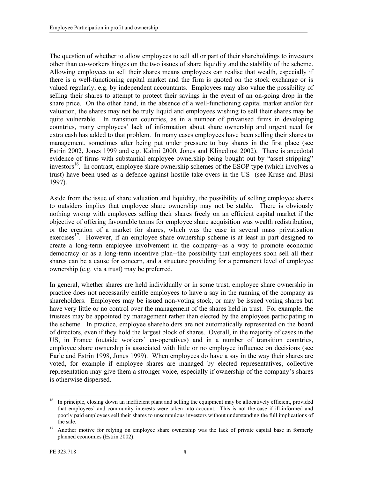The question of whether to allow employees to sell all or part of their shareholdings to investors other than co-workers hinges on the two issues of share liquidity and the stability of the scheme. Allowing employees to sell their shares means employees can realise that wealth, especially if there is a well-functioning capital market and the firm is quoted on the stock exchange or is valued regularly, e.g. by independent accountants. Employees may also value the possibility of selling their shares to attempt to protect their savings in the event of an on-going drop in the share price. On the other hand, in the absence of a well-functioning capital market and/or fair valuation, the shares may not be truly liquid and employees wishing to sell their shares may be quite vulnerable. In transition countries, as in a number of privatised firms in developing countries, many employees' lack of information about share ownership and urgent need for extra cash has added to that problem. In many cases employees have been selling their shares to management, sometimes after being put under pressure to buy shares in the first place (see Estrin 2002, Jones 1999 and e.g. Kalmi 2000, Jones and Klinedinst 2002). There is anecdotal evidence of firms with substantial employee ownership being bought out by "asset stripping" investors<sup>16</sup>. In contrast, employee share ownership schemes of the ESOP type (which involves a trust) have been used as a defence against hostile take-overs in the US (see Kruse and Blasi 1997).

Aside from the issue of share valuation and liquidity, the possibility of selling employee shares to outsiders implies that employee share ownership may not be stable. There is obviously nothing wrong with employees selling their shares freely on an efficient capital market if the objective of offering favourable terms for employee share acquisition was wealth redistribution, or the creation of a market for shares, which was the case in several mass privatisation exercises<sup>17</sup>. However, if an employee share ownership scheme is at least in part designed to create a long-term employee involvement in the company--as a way to promote economic democracy or as a long-term incentive plan--the possibility that employees soon sell all their shares can be a cause for concern, and a structure providing for a permanent level of employee ownership (e.g. via a trust) may be preferred.

In general, whether shares are held individually or in some trust, employee share ownership in practice does not necessarily entitle employees to have a say in the running of the company as shareholders. Employees may be issued non-voting stock, or may be issued voting shares but have very little or no control over the management of the shares held in trust. For example, the trustees may be appointed by management rather than elected by the employees participating in the scheme. In practice, employee shareholders are not automatically represented on the board of directors, even if they hold the largest block of shares. Overall, in the majority of cases in the US, in France (outside workers' co-operatives) and in a number of transition countries, employee share ownership is associated with little or no employee influence on decisions (see Earle and Estrin 1998, Jones 1999). When employees do have a say in the way their shares are voted, for example if employee shares are managed by elected representatives, collective representation may give them a stronger voice, especially if ownership of the company's shares is otherwise dispersed.

<sup>16</sup> <sup>16</sup> In principle, closing down an inefficient plant and selling the equipment may be allocatively efficient, provided that employees' and community interests were taken into account. This is not the case if ill-informed and poorly paid employees sell their shares to unscrupulous investors without understanding the full implications of the sale.

<sup>&</sup>lt;sup>17</sup> Another motive for relying on employee share ownership was the lack of private capital base in formerly planned economies (Estrin 2002).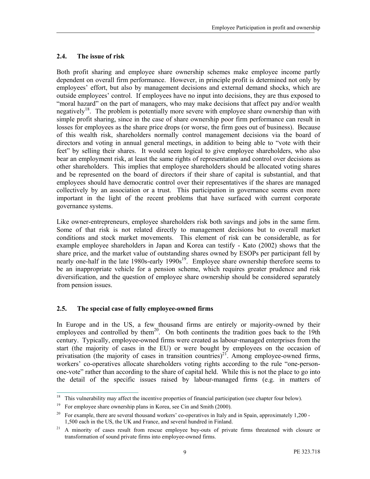### 2.4. The issue of risk

Both profit sharing and employee share ownership schemes make employee income partly dependent on overall firm performance. However, in principle profit is determined not only by employees' effort, but also by management decisions and external demand shocks, which are outside employees' control. If employees have no input into decisions, they are thus exposed to "moral hazard" on the part of managers, who may make decisions that affect pay and/or wealth negatively<sup>18</sup>. The problem is potentially more severe with employee share ownership than with simple profit sharing, since in the case of share ownership poor firm performance can result in losses for employees as the share price drops (or worse, the firm goes out of business). Because of this wealth risk, shareholders normally control management decisions via the board of directors and voting in annual general meetings, in addition to being able to "vote with their feet" by selling their shares. It would seem logical to give employee shareholders, who also bear an employment risk, at least the same rights of representation and control over decisions as other shareholders. This implies that employee shareholders should be allocated voting shares and be represented on the board of directors if their share of capital is substantial, and that employees should have democratic control over their representatives if the shares are managed collectively by an association or a trust. This participation in governance seems even more important in the light of the recent problems that have surfaced with current corporate governance systems.

Like owner-entrepreneurs, employee shareholders risk both savings and jobs in the same firm. Some of that risk is not related directly to management decisions but to overall market conditions and stock market movements. This element of risk can be considerable, as for example employee shareholders in Japan and Korea can testify - Kato (2002) shows that the share price, and the market value of outstanding shares owned by ESOPs per participant fell by nearly one-half in the late 1980s-early 1990s<sup>19</sup>. Employee share ownership therefore seems to be an inappropriate vehicle for a pension scheme, which requires greater prudence and risk diversification, and the question of employee share ownership should be considered separately from pension issues.

### 2.5. The special case of fully employee-owned firms

In Europe and in the US, a few thousand firms are entirely or majority-owned by their employees and controlled by them<sup>20</sup>. On both continents the tradition goes back to the 19th century. Typically, employee-owned firms were created as labour-managed enterprises from the start (the majority of cases in the EU) or were bought by employees on the occasion of privatisation (the majority of cases in transition countries)<sup>21</sup>. Among employee-owned firms, workers' co-operatives allocate shareholders voting rights according to the rule "one-personone-vote" rather than according to the share of capital held. While this is not the place to go into the detail of the specific issues raised by labour-managed firms (e.g. in matters of

 $18\,$ <sup>18</sup> This vulnerability may affect the incentive properties of financial participation (see chapter four below).

<sup>&</sup>lt;sup>19</sup> For employee share ownership plans in Korea, see Cin and Smith (2000).

<sup>&</sup>lt;sup>20</sup> For example, there are several thousand workers' co-operatives in Italy and in Spain, approximately  $1,200$  -1,500 each in the US, the UK and France, and several hundred in Finland.

<sup>&</sup>lt;sup>21</sup> A minority of cases result from rescue employee buy-outs of private firms threatened with closure or transformation of sound private firms into employee-owned firms.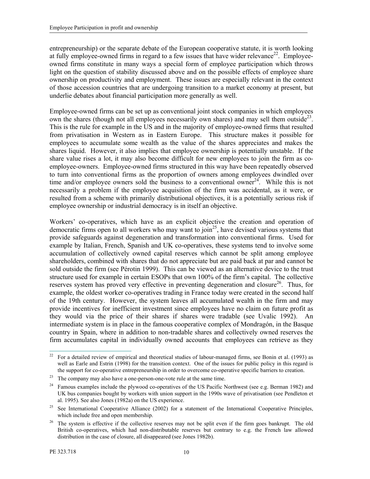entrepreneurship) or the separate debate of the European cooperative statute, it is worth looking at fully employee-owned firms in regard to a few issues that have wider relevance<sup>22</sup>. Employeeowned firms constitute in many ways a special form of employee participation which throws light on the question of stability discussed above and on the possible effects of employee share ownership on productivity and employment. These issues are especially relevant in the context of those accession countries that are undergoing transition to a market economy at present, but underlie debates about financial participation more generally as well.

Employee-owned firms can be set up as conventional joint stock companies in which employees own the shares (though not all employees necessarily own shares) and may sell them outside<sup>23</sup>. This is the rule for example in the US and in the majority of employee-owned firms that resulted from privatisation in Western as in Eastern Europe. This structure makes it possible for employees to accumulate some wealth as the value of the shares appreciates and makes the shares liquid. However, it also implies that employee ownership is potentially unstable. If the share value rises a lot, it may also become difficult for new employees to join the firm as coemployee-owners. Employee-owned firms structured in this way have been repeatedly observed to turn into conventional firms as the proportion of owners among employees dwindled over time and/or employee owners sold the business to a conventional owner<sup>24</sup>. While this is not necessarily a problem if the employee acquisition of the firm was accidental, as it were, or resulted from a scheme with primarily distributional objectives, it is a potentially serious risk if employee ownership or industrial democracy is in itself an objective.

Workers' co-operatives, which have as an explicit objective the creation and operation of democratic firms open to all workers who may want to join<sup>25</sup>, have devised various systems that provide safeguards against degeneration and transformation into conventional firms. Used for example by Italian, French, Spanish and UK co-operatives, these systems tend to involve some accumulation of collectively owned capital reserves which cannot be split among employee shareholders, combined with shares that do not appreciate but are paid back at par and cannot be sold outside the firm (see Pérotin 1999). This can be viewed as an alternative device to the trust structure used for example in certain ESOPs that own 100% of the firm's capital. The collective reserves system has proved very effective in preventing degeneration and closure<sup>26</sup>. Thus, for example, the oldest worker co-operatives trading in France today were created in the second half of the 19th century. However, the system leaves all accumulated wealth in the firm and may provide incentives for inefficient investment since employees have no claim on future profit as they would via the price of their shares if shares were tradable (see Uvalic 1992). An intermediate system is in place in the famous cooperative complex of Mondragón, in the Basque country in Spain, where in addition to non-tradable shares and collectively owned reserves the firm accumulates capital in individually owned accounts that employees can retrieve as they

 $22\,$ <sup>22</sup> For a detailed review of empirical and theoretical studies of labour-managed firms, see Bonin et al. (1993) as well as Earle and Estrin (1998) for the transition context. One of the issues for public policy in this regard is the support for co-operative entrepreneurship in order to overcome co-operative specific barriers to creation.

<sup>&</sup>lt;sup>23</sup> The company may also have a one-person-one-vote rule at the same time.

<sup>&</sup>lt;sup>24</sup> Famous examples include the plywood co-operatives of the US Pacific Northwest (see e.g. Berman 1982) and UK bus companies bought by workers with union support in the 1990s wave of privatisation (see Pendleton et al. 1995). See also Jones (1982a) on the US experience.

<sup>&</sup>lt;sup>25</sup> See International Cooperative Alliance (2002) for a statement of the International Cooperative Principles, which include free and open membership.

<sup>&</sup>lt;sup>26</sup> The system is effective if the collective reserves may not be split even if the firm goes bankrupt. The old British co-operatives, which had non-distributable reserves but contrary to e.g. the French law allowed distribution in the case of closure, all disappeared (see Jones 1982b).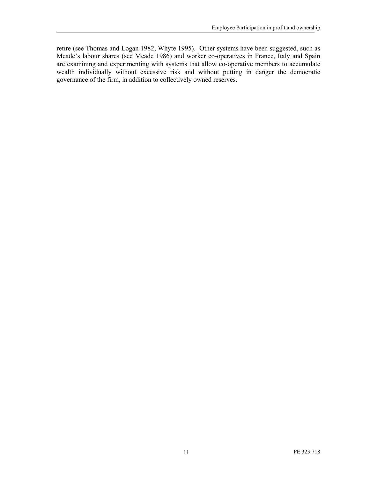retire (see Thomas and Logan 1982, Whyte 1995). Other systems have been suggested, such as Meade's labour shares (see Meade 1986) and worker co-operatives in France, Italy and Spain are examining and experimenting with systems that allow co-operative members to accumulate wealth individually without excessive risk and without putting in danger the democratic governance of the firm, in addition to collectively owned reserves.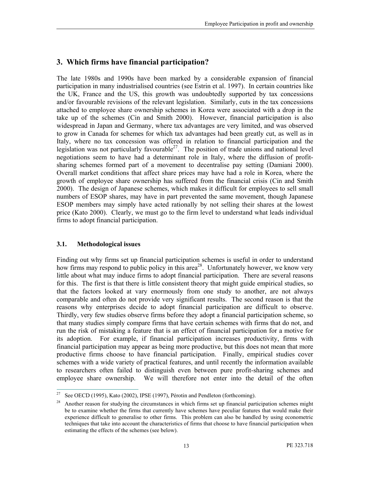# 3. Which firms have financial participation?

The late 1980s and 1990s have been marked by a considerable expansion of financial participation in many industrialised countries (see Estrin et al. 1997). In certain countries like the UK, France and the US, this growth was undoubtedly supported by tax concessions and/or favourable revisions of the relevant legislation. Similarly, cuts in the tax concessions attached to employee share ownership schemes in Korea were associated with a drop in the take up of the schemes (Cin and Smith 2000). However, financial participation is also widespread in Japan and Germany, where tax advantages are very limited, and was observed to grow in Canada for schemes for which tax advantages had been greatly cut, as well as in Italy, where no tax concession was offered in relation to financial participation and the legislation was not particularly favourable<sup>27</sup>. The position of trade unions and national level negotiations seem to have had a determinant role in Italy, where the diffusion of profitsharing schemes formed part of a movement to decentralise pay setting (Damiani 2000). Overall market conditions that affect share prices may have had a role in Korea, where the growth of employee share ownership has suffered from the financial crisis (Cin and Smith 2000). The design of Japanese schemes, which makes it difficult for employees to sell small numbers of ESOP shares, may have in part prevented the same movement, though Japanese ESOP members may simply have acted rationally by not selling their shares at the lowest price (Kato 2000). Clearly, we must go to the firm level to understand what leads individual firms to adopt financial participation.

#### 3.1. Methodological issues

Finding out why firms set up financial participation schemes is useful in order to understand how firms may respond to public policy in this area<sup>28</sup>. Unfortunately however, we know very little about what may induce firms to adopt financial participation. There are several reasons for this. The first is that there is little consistent theory that might guide empirical studies, so that the factors looked at vary enormously from one study to another, are not always comparable and often do not provide very significant results. The second reason is that the reasons why enterprises decide to adopt financial participation are difficult to observe. Thirdly, very few studies observe firms before they adopt a financial participation scheme, so that many studies simply compare firms that have certain schemes with firms that do not, and run the risk of mistaking a feature that is an effect of financial participation for a motive for its adoption. For example, if financial participation increases productivity, firms with financial participation may appear as being more productive, but this does not mean that more productive firms choose to have financial participation. Finally, empirical studies cover schemes with a wide variety of practical features, and until recently the information available to researchers often failed to distinguish even between pure profit-sharing schemes and employee share ownership. We will therefore not enter into the detail of the often

 $27\,$ See OECD (1995), Kato (2002), IPSE (1997), Pérotin and Pendleton (forthcoming).

<sup>28</sup> Another reason for studying the circumstances in which firms set up financial participation schemes might be to examine whether the firms that currently have schemes have peculiar features that would make their experience difficult to generalise to other firms. This problem can also be handled by using econometric techniques that take into account the characteristics of firms that choose to have financial participation when estimating the effects of the schemes (see below).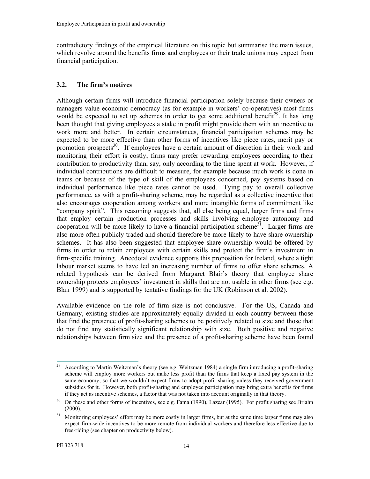contradictory findings of the empirical literature on this topic but summarise the main issues, which revolve around the benefits firms and employees or their trade unions may expect from financial participation.

#### 3.2. The firm's motives

Although certain firms will introduce financial participation solely because their owners or managers value economic democracy (as for example in workers' co-operatives) most firms would be expected to set up schemes in order to get some additional benefit<sup>29</sup>. It has long been thought that giving employees a stake in profit might provide them with an incentive to work more and better. In certain circumstances, financial participation schemes may be expected to be more effective than other forms of incentives like piece rates, merit pay or promotion prospects<sup>30</sup>. If employees have a certain amount of discretion in their work and monitoring their effort is costly, firms may prefer rewarding employees according to their contribution to productivity than, say, only according to the time spent at work. However, if individual contributions are difficult to measure, for example because much work is done in teams or because of the type of skill of the employees concerned, pay systems based on individual performance like piece rates cannot be used. Tying pay to overall collective performance, as with a profit-sharing scheme, may be regarded as a collective incentive that also encourages cooperation among workers and more intangible forms of commitment like "company spirit". This reasoning suggests that, all else being equal, larger firms and firms that employ certain production processes and skills involving employee autonomy and cooperation will be more likely to have a financial participation scheme<sup>31</sup>. Larger firms are also more often publicly traded and should therefore be more likely to have share ownership schemes. It has also been suggested that employee share ownership would be offered by firms in order to retain employees with certain skills and protect the firm's investment in firm-specific training. Anecdotal evidence supports this proposition for Ireland, where a tight labour market seems to have led an increasing number of firms to offer share schemes. A related hypothesis can be derived from Margaret Blair's theory that employee share ownership protects employees' investment in skills that are not usable in other firms (see e.g. Blair 1999) and is supported by tentative findings for the UK (Robinson et al. 2002).

Available evidence on the role of firm size is not conclusive. For the US, Canada and Germany, existing studies are approximately equally divided in each country between those that find the presence of profit-sharing schemes to be positively related to size and those that do not find any statistically significant relationship with size. Both positive and negative relationships between firm size and the presence of a profit-sharing scheme have been found

<sup>29</sup> <sup>29</sup> According to Martin Weitzman's theory (see e.g. Weitzman 1984) a single firm introducing a profit-sharing scheme will employ more workers but make less profit than the firms that keep a fixed pay system in the same economy, so that we wouldn't expect firms to adopt profit-sharing unless they received government subsidies for it. However, both profit-sharing and employee participation may bring extra benefits for firms if they act as incentive schemes, a factor that was not taken into account originally in that theory.

<sup>&</sup>lt;sup>30</sup> On these and other forms of incentives, see e.g. Fama (1990), Lazear (1995). For profit sharing see Jirjahn (2000).

<sup>&</sup>lt;sup>31</sup> Monitoring employees' effort may be more costly in larger firms, but at the same time larger firms may also expect firm-wide incentives to be more remote from individual workers and therefore less effective due to free-riding (see chapter on productivity below).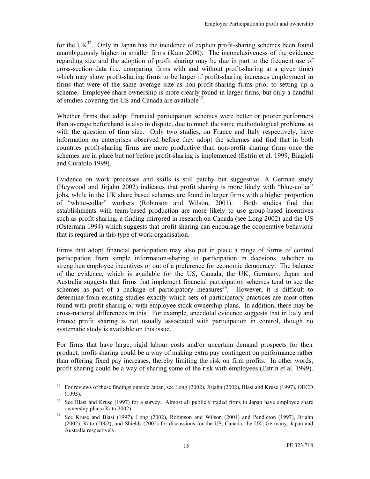for the UK $^{32}$ . Only in Japan has the incidence of explicit profit-sharing schemes been found unambiguously higher in smaller firms (Kato 2000). The inconclusiveness of the evidence regarding size and the adoption of profit sharing may be due in part to the frequent use of cross-section data (i.e. comparing firms with and without profit-sharing at a given time) which may show profit-sharing firms to be larger if profit-sharing increases employment in firms that were of the same average size as non-profit-sharing firms prior to setting up a scheme. Employee share ownership is more clearly found in larger firms, but only a handful of studies covering the US and Canada are available<sup>33</sup>.

Whether firms that adopt financial participation schemes were better or poorer performers than average beforehand is also in dispute, due to much the same methodological problems as with the question of firm size. Only two studies, on France and Italy respectively, have information on enterprises observed before they adopt the schemes and find that in both countries profit-sharing firms are more productive than non-profit sharing firms once the schemes are in place but not before profit-sharing is implemented (Estrin et al. 1999, Biagioli and Curatolo 1999).

Evidence on work processes and skills is still patchy but suggestive. A German study (Heywood and Jirjahn 2002) indicates that profit sharing is more likely with "blue-collar" jobs, while in the UK share based schemes are found in larger firms with a higher proportion of "white-collar" workers (Robinson and Wilson, 2001). Both studies find that establishments with team-based production are more likely to use group-based incentives such as profit sharing, a finding mirrored in research on Canada (see Long 2002) and the US (Osterman 1994) which suggests that profit sharing can encourage the cooperative behaviour that is required in this type of work organisation.

Firms that adopt financial participation may also put in place a range of forms of control participation from simple information-sharing to participation in decisions, whether to strengthen employee incentives or out of a preference for economic democracy. The balance of the evidence, which is available for the US, Canada, the UK, Germany, Japan and Australia suggests that firms that implement financial participation schemes tend to see the schemes as part of a package of participatory measures  $34$ . However, it is difficult to determine from existing studies exactly which sets of participatory practices are most often found with profit-sharing or with employee stock ownership plans. In addition, there may be cross-national differences in this. For example, anecdotal evidence suggests that in Italy and France profit sharing is not usually associated with participation in control, though no systematic study is available on this issue.

For firms that have large, rigid labour costs and/or uncertain demand prospects for their product, profit-sharing could be a way of making extra pay contingent on performance rather than offering fixed pay increases, thereby limiting the risk on firm profits. In other words, profit sharing could be a way of sharing some of the risk with employees (Estrin et al. 1999).

 $32$ <sup>32</sup> For reviews of these findings outside Japan, see Long (2002), Jirjahn (2002), Blasi and Kruse (1997), OECD (1995).

<sup>&</sup>lt;sup>33</sup> See Blasi and Kruse (1997) for a survey. Almost all publicly traded firms in Japan have employee share ownership plans (Kato 2002).

<sup>&</sup>lt;sup>34</sup> See Kruse and Blasi (1997), Long (2002), Robinson and Wilson (2001) and Pendleton (1997), Jirjahn (2002), Kato (2002), and Shields (2002) for discussions for the US, Canada, the UK, Germany, Japan and Australia respectively.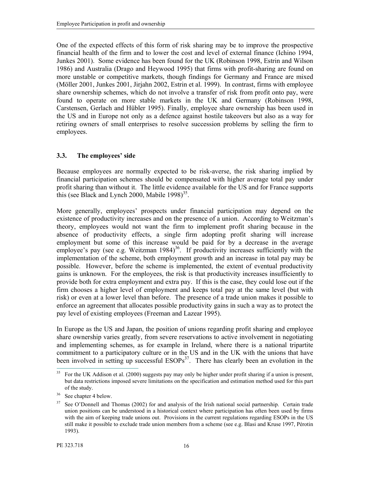One of the expected effects of this form of risk sharing may be to improve the prospective financial health of the firm and to lower the cost and level of external finance (Ichino 1994, Junkes 2001). Some evidence has been found for the UK (Robinson 1998, Estrin and Wilson 1986) and Australia (Drago and Heywood 1995) that firms with profit-sharing are found on more unstable or competitive markets, though findings for Germany and France are mixed (Möller 2001, Junkes 2001, Jirjahn 2002, Estrin et al. 1999). In contrast, firms with employee share ownership schemes, which do not involve a transfer of risk from profit onto pay, were found to operate on more stable markets in the UK and Germany (Robinson 1998, Carstensen, Gerlach and Hübler 1995). Finally, employee share ownership has been used in the US and in Europe not only as a defence against hostile takeovers but also as a way for retiring owners of small enterprises to resolve succession problems by selling the firm to employees.

#### 3.3. The employees' side

Because employees are normally expected to be risk-averse, the risk sharing implied by financial participation schemes should be compensated with higher average total pay under profit sharing than without it. The little evidence available for the US and for France supports this (see Black and Lynch 2000, Mabile  $1998$ )<sup>35</sup>.

More generally, employees' prospects under financial participation may depend on the existence of productivity increases and on the presence of a union. According to Weitzman's theory, employees would not want the firm to implement profit sharing because in the absence of productivity effects, a single firm adopting profit sharing will increase employment but some of this increase would be paid for by a decrease in the average employee's pay (see e.g. Weitzman  $1984$ )<sup>36</sup>. If productivity increases sufficiently with the implementation of the scheme, both employment growth and an increase in total pay may be possible. However, before the scheme is implemented, the extent of eventual productivity gains is unknown. For the employees, the risk is that productivity increases insufficiently to provide both for extra employment and extra pay. If this is the case, they could lose out if the firm chooses a higher level of employment and keeps total pay at the same level (but with risk) or even at a lower level than before. The presence of a trade union makes it possible to enforce an agreement that allocates possible productivity gains in such a way as to protect the pay level of existing employees (Freeman and Lazear 1995).

In Europe as the US and Japan, the position of unions regarding profit sharing and employee share ownership varies greatly, from severe reservations to active involvement in negotiating and implementing schemes, as for example in Ireland, where there is a national tripartite commitment to a participatory culture or in the US and in the UK with the unions that have been involved in setting up successful  $ESOPs<sup>37</sup>$ . There has clearly been an evolution in the

 $35$ <sup>35</sup> For the UK Addison et al. (2000) suggests pay may only be higher under profit sharing if a union is present, but data restrictions imposed severe limitations on the specification and estimation method used for this part of the study.

<sup>&</sup>lt;sup>36</sup> See chapter 4 below.

<sup>&</sup>lt;sup>37</sup> See O'Donnell and Thomas (2002) for and analysis of the Irish national social partnership. Certain trade union positions can be understood in a historical context where participation has often been used by firms with the aim of keeping trade unions out. Provisions in the current regulations regarding ESOPs in the US still make it possible to exclude trade union members from a scheme (see e.g. Blasi and Kruse 1997, Pérotin 1993).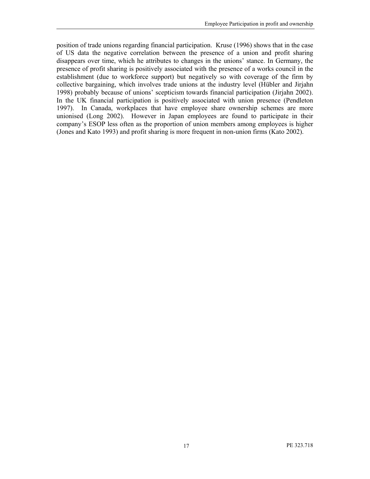position of trade unions regarding financial participation. Kruse (1996) shows that in the case of US data the negative correlation between the presence of a union and profit sharing disappears over time, which he attributes to changes in the unions' stance. In Germany, the presence of profit sharing is positively associated with the presence of a works council in the establishment (due to workforce support) but negatively so with coverage of the firm by collective bargaining, which involves trade unions at the industry level (Hübler and Jirjahn 1998) probably because of unions' scepticism towards financial participation (Jirjahn 2002). In the UK financial participation is positively associated with union presence (Pendleton 1997). In Canada, workplaces that have employee share ownership schemes are more unionised (Long 2002). However in Japan employees are found to participate in their company's ESOP less often as the proportion of union members among employees is higher (Jones and Kato 1993) and profit sharing is more frequent in non-union firms (Kato 2002).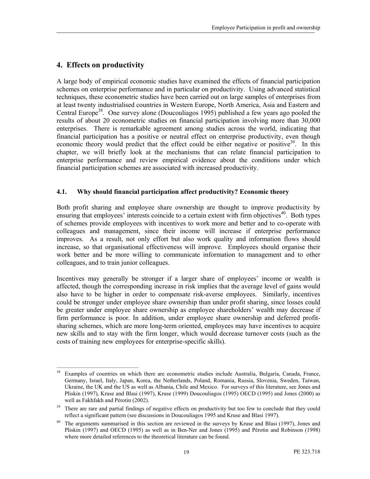### 4. Effects on productivity

A large body of empirical economic studies have examined the effects of financial participation schemes on enterprise performance and in particular on productivity. Using advanced statistical techniques, these econometric studies have been carried out on large samples of enterprises from at least twenty industrialised countries in Western Europe, North America, Asia and Eastern and Central Europe<sup>38</sup>. One survey alone (Doucouliagos 1995) published a few years ago pooled the results of about 20 econometric studies on financial participation involving more than 30,000 enterprises. There is remarkable agreement among studies across the world, indicating that financial participation has a positive or neutral effect on enterprise productivity, even though economic theory would predict that the effect could be either negative or positive<sup>39</sup>. In this chapter, we will briefly look at the mechanisms that can relate financial participation to enterprise performance and review empirical evidence about the conditions under which financial participation schemes are associated with increased productivity.

#### 4.1. Why should financial participation affect productivity? Economic theory

Both profit sharing and employee share ownership are thought to improve productivity by ensuring that employees' interests coincide to a certain extent with firm objectives<sup>40</sup>. Both types of schemes provide employees with incentives to work more and better and to co-operate with colleagues and management, since their income will increase if enterprise performance improves. As a result, not only effort but also work quality and information flows should increase, so that organisational effectiveness will improve. Employees should organise their work better and be more willing to communicate information to management and to other colleagues, and to train junior colleagues.

Incentives may generally be stronger if a larger share of employees' income or wealth is affected, though the corresponding increase in risk implies that the average level of gains would also have to be higher in order to compensate risk-averse employees. Similarly, incentives could be stronger under employee share ownership than under profit sharing, since losses could be greater under employee share ownership as employee shareholders' wealth may decrease if firm performance is poor. In addition, under employee share ownership and deferred profitsharing schemes, which are more long-term oriented, employees may have incentives to acquire new skills and to stay with the firm longer, which would decrease turnover costs (such as the costs of training new employees for enterprise-specific skills).

 $38$ Examples of countries on which there are econometric studies include Australia, Bulgaria, Canada, France, Germany, Israel, Italy, Japan, Korea, the Netherlands, Poland, Romania, Russia, Slovenia, Sweden, Taiwan, Ukraine, the UK and the US as well as Albania, Chile and Mexico. For surveys of this literature, see Jones and Pliskin (1997), Kruse and Blasi (1997), Kruse (1999) Doucouliagos (1995) OECD (1995) and Jones (2000) as well as Fakhfakh and Pérotin (2002).

<sup>&</sup>lt;sup>39</sup> There are rare and partial findings of negative effects on productivity but too few to conclude that they could reflect a significant pattern (see discussions in Doucouliagos 1995 and Kruse and Blasi 1997).

The arguments summarised in this section are reviewed in the surveys by Kruse and Blasi (1997), Jones and Pliskin (1997) and OECD (1995) as well as in Ben-Ner and Jones (1995) and Pérotin and Robinson (1998) where more detailed references to the theoretical literature can be found.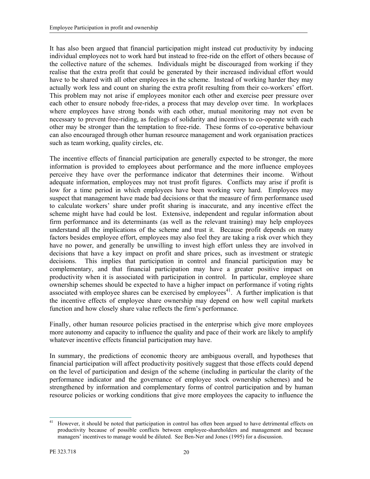It has also been argued that financial participation might instead cut productivity by inducing individual employees not to work hard but instead to free-ride on the effort of others because of the collective nature of the schemes. Individuals might be discouraged from working if they realise that the extra profit that could be generated by their increased individual effort would have to be shared with all other employees in the scheme. Instead of working harder they may actually work less and count on sharing the extra profit resulting from their co-workers' effort. This problem may not arise if employees monitor each other and exercise peer pressure over each other to ensure nobody free-rides, a process that may develop over time. In workplaces where employees have strong bonds with each other, mutual monitoring may not even be necessary to prevent free-riding, as feelings of solidarity and incentives to co-operate with each other may be stronger than the temptation to free-ride. These forms of co-operative behaviour can also encouraged through other human resource management and work organisation practices such as team working, quality circles, etc.

The incentive effects of financial participation are generally expected to be stronger, the more information is provided to employees about performance and the more influence employees perceive they have over the performance indicator that determines their income. Without adequate information, employees may not trust profit figures. Conflicts may arise if profit is low for a time period in which employees have been working very hard. Employees may suspect that management have made bad decisions or that the measure of firm performance used to calculate workers' share under profit sharing is inaccurate, and any incentive effect the scheme might have had could be lost. Extensive, independent and regular information about firm performance and its determinants (as well as the relevant training) may help employees understand all the implications of the scheme and trust it. Because profit depends on many factors besides employee effort, employees may also feel they are taking a risk over which they have no power, and generally be unwilling to invest high effort unless they are involved in decisions that have a key impact on profit and share prices, such as investment or strategic decisions. This implies that participation in control and financial participation may be complementary, and that financial participation may have a greater positive impact on productivity when it is associated with participation in control. In particular, employee share ownership schemes should be expected to have a higher impact on performance if voting rights associated with employee shares can be exercised by employees<sup>41</sup>. A further implication is that the incentive effects of employee share ownership may depend on how well capital markets function and how closely share value reflects the firm's performance.

Finally, other human resource policies practised in the enterprise which give more employees more autonomy and capacity to influence the quality and pace of their work are likely to amplify whatever incentive effects financial participation may have.

In summary, the predictions of economic theory are ambiguous overall, and hypotheses that financial participation will affect productivity positively suggest that those effects could depend on the level of participation and design of the scheme (including in particular the clarity of the performance indicator and the governance of employee stock ownership schemes) and be strengthened by information and complementary forms of control participation and by human resource policies or working conditions that give more employees the capacity to influence the

 $\overline{a}$ <sup>41</sup> However, it should be noted that participation in control has often been argued to have detrimental effects on productivity because of possible conflicts between employee-shareholders and management and because managers' incentives to manage would be diluted. See Ben-Ner and Jones (1995) for a discussion.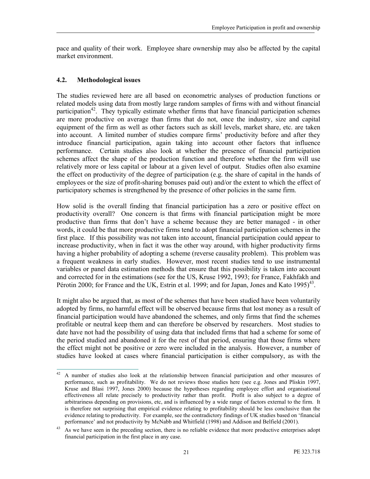pace and quality of their work. Employee share ownership may also be affected by the capital market environment.

#### 4.2. Methodological issues

The studies reviewed here are all based on econometric analyses of production functions or related models using data from mostly large random samples of firms with and without financial participation<sup>42</sup>. They typically estimate whether firms that have financial participation schemes are more productive on average than firms that do not, once the industry, size and capital equipment of the firm as well as other factors such as skill levels, market share, etc. are taken into account. A limited number of studies compare firms' productivity before and after they introduce financial participation, again taking into account other factors that influence performance. Certain studies also look at whether the presence of financial participation schemes affect the shape of the production function and therefore whether the firm will use relatively more or less capital or labour at a given level of output. Studies often also examine the effect on productivity of the degree of participation (e.g. the share of capital in the hands of employees or the size of profit-sharing bonuses paid out) and/or the extent to which the effect of participatory schemes is strengthened by the presence of other policies in the same firm.

How solid is the overall finding that financial participation has a zero or positive effect on productivity overall? One concern is that firms with financial participation might be more productive than firms that don't have a scheme because they are better managed - in other words, it could be that more productive firms tend to adopt financial participation schemes in the first place. If this possibility was not taken into account, financial participation could appear to increase productivity, when in fact it was the other way around, with higher productivity firms having a higher probability of adopting a scheme (reverse causality problem). This problem was a frequent weakness in early studies. However, most recent studies tend to use instrumental variables or panel data estimation methods that ensure that this possibility is taken into account and corrected for in the estimations (see for the US, Kruse 1992, 1993; for France, Fakhfakh and Pérotin 2000; for France and the UK, Estrin et al. 1999; and for Japan, Jones and Kato 1995)<sup>43</sup>.

It might also be argued that, as most of the schemes that have been studied have been voluntarily adopted by firms, no harmful effect will be observed because firms that lost money as a result of financial participation would have abandoned the schemes, and only firms that find the schemes profitable or neutral keep them and can therefore be observed by researchers. Most studies to date have not had the possibility of using data that included firms that had a scheme for some of the period studied and abandoned it for the rest of that period, ensuring that those firms where the effect might not be positive or zero were included in the analysis. However, a number of studies have looked at cases where financial participation is either compulsory, as with the

<sup>42</sup> <sup>42</sup> A number of studies also look at the relationship between financial participation and other measures of performance, such as profitability. We do not reviews those studies here (see e.g. Jones and Pliskin 1997, Kruse and Blasi 1997, Jones 2000) because the hypotheses regarding employee effort and organisational effectiveness all relate precisely to productivity rather than profit. Profit is also subject to a degree of arbitrariness depending on provisions, etc, and is influenced by a wide range of factors external to the firm. It is therefore not surprising that empirical evidence relating to profitability should be less conclusive than the evidence relating to productivity. For example, see the contradictory findings of UK studies based on 'financial performance' and not productivity by McNabb and Whitfield (1998) and Addison and Belfield (2001).

<sup>&</sup>lt;sup>43</sup> As we have seen in the preceding section, there is no reliable evidence that more productive enterprises adopt financial participation in the first place in any case.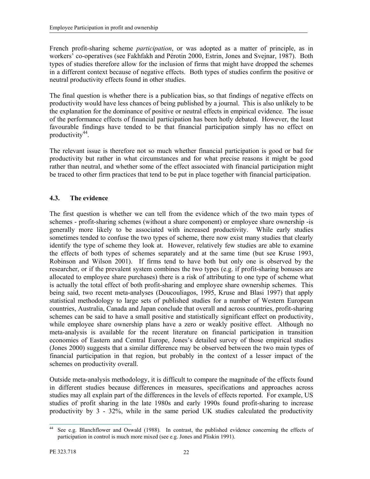French profit-sharing scheme participation, or was adopted as a matter of principle, as in workers' co-operatives (see Fakhfakh and Pérotin 2000, Estrin, Jones and Svejnar, 1987). Both types of studies therefore allow for the inclusion of firms that might have dropped the schemes in a different context because of negative effects. Both types of studies confirm the positive or neutral productivity effects found in other studies.

The final question is whether there is a publication bias, so that findings of negative effects on productivity would have less chances of being published by a journal. This is also unlikely to be the explanation for the dominance of positive or neutral effects in empirical evidence. The issue of the performance effects of financial participation has been hotly debated. However, the least favourable findings have tended to be that financial participation simply has no effect on productivity<sup>44</sup>.

The relevant issue is therefore not so much whether financial participation is good or bad for productivity but rather in what circumstances and for what precise reasons it might be good rather than neutral, and whether some of the effect associated with financial participation might be traced to other firm practices that tend to be put in place together with financial participation.

#### 4.3. The evidence

The first question is whether we can tell from the evidence which of the two main types of schemes - profit-sharing schemes (without a share component) or employee share ownership -is generally more likely to be associated with increased productivity. While early studies sometimes tended to confuse the two types of scheme, there now exist many studies that clearly identify the type of scheme they look at. However, relatively few studies are able to examine the effects of both types of schemes separately and at the same time (but see Kruse 1993, Robinson and Wilson 2001). If firms tend to have both but only one is observed by the researcher, or if the prevalent system combines the two types (e.g. if profit-sharing bonuses are allocated to employee share purchases) there is a risk of attributing to one type of scheme what is actually the total effect of both profit-sharing and employee share ownership schemes. This being said, two recent meta-analyses (Doucouliagos, 1995, Kruse and Blasi 1997) that apply statistical methodology to large sets of published studies for a number of Western European countries, Australia, Canada and Japan conclude that overall and across countries, profit-sharing schemes can be said to have a small positive and statistically significant effect on productivity, while employee share ownership plans have a zero or weakly positive effect. Although no meta-analysis is available for the recent literature on financial participation in transition economies of Eastern and Central Europe, Jones's detailed survey of those empirical studies (Jones 2000) suggests that a similar difference may be observed between the two main types of financial participation in that region, but probably in the context of a lesser impact of the schemes on productivity overall.

Outside meta-analysis methodology, it is difficult to compare the magnitude of the effects found in different studies because differences in measures, specifications and approaches across studies may all explain part of the differences in the levels of effects reported. For example, US studies of profit sharing in the late 1980s and early 1990s found profit-sharing to increase productivity by 3 - 32%, while in the same period UK studies calculated the productivity

 $\overline{a}$ See e.g. Blanchflower and Oswald (1988). In contrast, the published evidence concerning the effects of participation in control is much more mixed (see e.g. Jones and Pliskin 1991).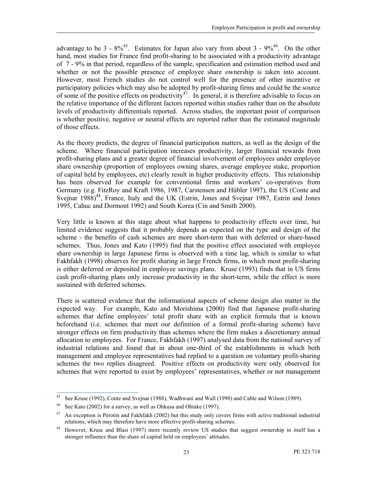advantage to be 3 -  $8\%^{45}$ . Estimates for Japan also vary from about 3 -  $9\%^{46}$ . On the other hand, most studies for France find profit-sharing to be associated with a productivity advantage of 7 - 9% in that period, regardless of the sample, specification and estimation method used and whether or not the possible presence of employee share ownership is taken into account. However, most French studies do not control well for the presence of other incentive or participatory policies which may also be adopted by profit-sharing firms and could be the source of some of the positive effects on productivity<sup>47</sup>. In general, it is therefore advisable to focus on the relative importance of the different factors reported within studies rather than on the absolute levels of productivity differentials reported. Across studies, the important point of comparison is whether positive, negative or neutral effects are reported rather than the estimated magnitude of those effects.

As the theory predicts, the degree of financial participation matters, as well as the design of the scheme. Where financial participation increases productivity, larger financial rewards from profit-sharing plans and a greater degree of financial involvement of employees under employee share ownership (proportion of employees owning shares, average employee stake, proportion of capital held by employees, etc) clearly result in higher productivity effects. This relationship has been observed for example for conventional firms and workers' co-operatives from Germany (e.g. FitzRoy and Kraft 1986, 1987, Carstensen and Hübler 1997), the US (Conte and Svejnar 1988)<sup>48</sup>, France, Italy and the UK (Estrin, Jones and Svejnar 1987, Estrin and Jones 1995, Cahuc and Dormont 1992) and South Korea (Cin and Smith 2000).

Very little is known at this stage about what happens to productivity effects over time, but limited evidence suggests that it probably depends as expected on the type and design of the scheme - the benefits of cash schemes are more short-term than with deferred or share-based schemes. Thus, Jones and Kato (1995) find that the positive effect associated with employee share ownership in large Japanese firms is observed with a time lag, which is similar to what Fakhfakh (1998) observes for profit sharing in large French firms, in which most profit-sharing is either deferred or deposited in employee savings plans. Kruse (1993) finds that in US firms cash profit-sharing plans only increase productivity in the short-term, while the effect is more sustained with deferred schemes.

There is scattered evidence that the informational aspects of scheme design also matter in the expected way. For example, Kato and Morishima (2000) find that Japanese profit-sharing schemes that define employees' total profit share with an explicit formula that is known beforehand (i.e. schemes that meet our definition of a formal profit-sharing scheme) have stronger effects on firm productivity than schemes where the firm makes a discretionary annual allocation to employees. For France, Fakhfakh (1997) analysed data from the national survey of industrial relations and found that in about one-third of the establishments in which both management and employee representatives had replied to a question on voluntary profit-sharing schemes the two replies disagreed. Positive effects on productivity were only observed for schemes that were reported to exist by employees' representatives, whether or not management

 $45\,$ See Kruse (1992), Conte and Svejnar (1988), Wadhwani and Wall (1990) and Cable and Wilson (1989).

<sup>46</sup> See Kato (2002) for a survey, as well as Ohkusa and Ohtake (1997).

<sup>&</sup>lt;sup>47</sup> An exception is Pérotin and Fakhfakh (2002) but this study only covers firms with active traditional industrial relations, which may therefore have more effective profit-sharing schemes.

<sup>&</sup>lt;sup>48</sup> However, Kruse and Blasi (1997) more recently review US studies that suggest ownership in itself has a stronger influence than the share of capital held on employees' attitudes.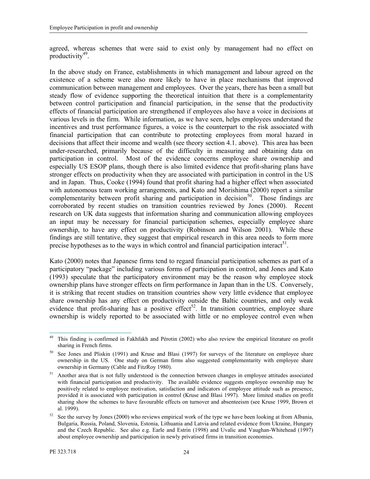agreed, whereas schemes that were said to exist only by management had no effect on productivity<sup>49</sup>.

In the above study on France, establishments in which management and labour agreed on the existence of a scheme were also more likely to have in place mechanisms that improved communication between management and employees. Over the years, there has been a small but steady flow of evidence supporting the theoretical intuition that there is a complementarity between control participation and financial participation, in the sense that the productivity effects of financial participation are strengthened if employees also have a voice in decisions at various levels in the firm. While information, as we have seen, helps employees understand the incentives and trust performance figures, a voice is the counterpart to the risk associated with financial participation that can contribute to protecting employees from moral hazard in decisions that affect their income and wealth (see theory section 4.1. above). This area has been under-researched, primarily because of the difficulty in measuring and obtaining data on participation in control. Most of the evidence concerns employee share ownership and especially US ESOP plans, though there is also limited evidence that profit-sharing plans have stronger effects on productivity when they are associated with participation in control in the US and in Japan. Thus, Cooke (1994) found that profit sharing had a higher effect when associated with autonomous team working arrangements, and Kato and Morishima (2000) report a similar complementarity between profit sharing and participation in decision<sup>50</sup>. Those findings are corroborated by recent studies on transition countries reviewed by Jones (2000). Recent research on UK data suggests that information sharing and communication allowing employees an input may be necessary for financial participation schemes, especially employee share ownership, to have any effect on productivity (Robinson and Wilson 2001). While these findings are still tentative, they suggest that empirical research in this area needs to form more precise hypotheses as to the ways in which control and financial participation interact<sup>51</sup>.

Kato (2000) notes that Japanese firms tend to regard financial participation schemes as part of a participatory "package" including various forms of participation in control, and Jones and Kato (1993) speculate that the participatory environment may be the reason why employee stock ownership plans have stronger effects on firm performance in Japan than in the US. Conversely, it is striking that recent studies on transition countries show very little evidence that employee share ownership has any effect on productivity outside the Baltic countries, and only weak evidence that profit-sharing has a positive effect<sup>52</sup>. In transition countries, employee share ownership is widely reported to be associated with little or no employee control even when

 $\overline{a}$ <sup>49</sup> This finding is confirmed in Fakhfakh and Pérotin (2002) who also review the empirical literature on profit sharing in French firms.

See Jones and Pliskin (1991) and Kruse and Blasi (1997) for surveys of the literature on employee share ownership in the US. One study on German firms also suggested complementarity with employee share ownership in Germany (Cable and FitzRoy 1980).

<sup>51</sup> Another area that is not fully understood is the connection between changes in employee attitudes associated with financial participation and productivity. The available evidence suggests employee ownership may be positively related to employee motivation, satisfaction and indicators of employee attitude such as presence, provided it is associated with participation in control (Kruse and Blasi 1997). More limited studies on profit sharing show the schemes to have favourable effects on turnover and absenteeism (see Kruse 1999, Brown et al. 1999).

 $52$  See the survey by Jones (2000) who reviews empirical work of the type we have been looking at from Albania, Bulgaria, Russia, Poland, Slovenia, Estonia, Lithuania and Latvia and related evidence from Ukraine, Hungary and the Czech Republic. See also e.g. Earle and Estrin (1998) and Uvalic and Vaughan-Whitehead (1997) about employee ownership and participation in newly privatised firms in transition economies.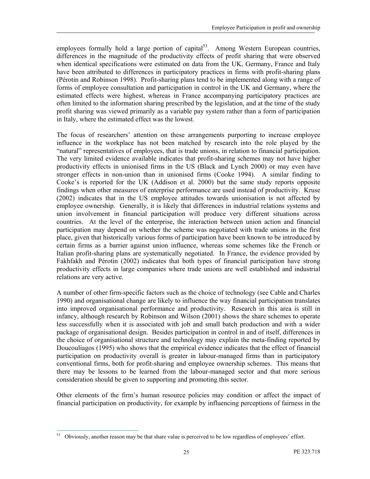employees formally hold a large portion of capital<sup>53</sup>. Among Western European countries, differences in the magnitude of the productivity effects of profit sharing that were observed when identical specifications were estimated on data from the UK, Germany, France and Italy have been attributed to differences in participatory practices in firms with profit-sharing plans (Pérotin and Robinson 1998). Profit-sharing plans tend to be implemented along with a range of forms of employee consultation and participation in control in the UK and Germany, where the estimated effects were highest, whereas in France accompanying participatory practices are often limited to the information sharing prescribed by the legislation, and at the time of the study profit sharing was viewed primarily as a variable pay system rather than a form of participation in Italy, where the estimated effect was the lowest.

The focus of researchers' attention on these arrangements purporting to increase employee influence in the workplace has not been matched by research into the role played by the "natural" representatives of employees, that is trade unions, in relation to financial participation. The very limited evidence available indicates that profit-sharing schemes may not have higher productivity effects in unionised firms in the US (Black and Lynch 2000) or may even have stronger effects in non-union than in unionised firms (Cooke 1994). A similar finding to Cooke's is reported for the UK (Addison et al. 2000) but the same study reports opposite findings when other measures of enterprise performance are used instead of productivity. Kruse (2002) indicates that in the US employee attitudes towards unionisation is not affected by employee ownership. Generally, it is likely that differences in industrial relations systems and union involvement in financial participation will produce very different situations across countries. At the level of the enterprise, the interaction between union action and financial participation may depend on whether the scheme was negotiated with trade unions in the first place, given that historically various forms of participation have been known to be introduced by certain firms as a barrier against union influence, whereas some schemes like the French or Italian profit-sharing plans are systematically negotiated. In France, the evidence provided by Fakhfakh and Pérotin (2002) indicates that both types of financial participation have strong productivity effects in large companies where trade unions are well established and industrial relations are very active.

A number of other firm-specific factors such as the choice of technology (see Cable and Charles 1990) and organisational change are likely to influence the way financial participation translates into improved organisational performance and productivity. Research in this area is still in infancy, although research by Robinson and Wilson (2001) shows the share schemes to operate less successfully when it is associated with job and small batch production and with a wider package of organisational design. Besides participation in control in and of itself, differences in the choice of organisational structure and technology may explain the meta-finding reported by Doucouliagos (1995) who shows that the empirical evidence indicates that the effect of financial participation on productivity overall is greater in labour-managed firms than in participatory conventional firms, both for profit-sharing and employee ownership schemes. This means that there may be lessons to be learned from the labour-managed sector and that more serious consideration should be given to supporting and promoting this sector.

Other elements of the firm's human resource policies may condition or affect the impact of financial participation on productivity, for example by influencing perceptions of fairness in the

<sup>53</sup> <sup>53</sup> Obviously, another reason may be that share value is perceived to be low regardless of employees' effort.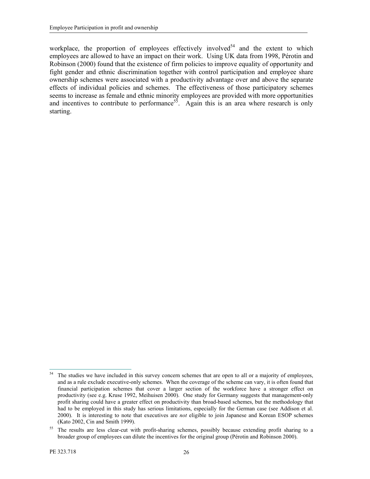workplace, the proportion of employees effectively involved<sup>54</sup> and the extent to which employees are allowed to have an impact on their work. Using UK data from 1998, Pérotin and Robinson (2000) found that the existence of firm policies to improve equality of opportunity and fight gender and ethnic discrimination together with control participation and employee share ownership schemes were associated with a productivity advantage over and above the separate effects of individual policies and schemes. The effectiveness of those participatory schemes seems to increase as female and ethnic minority employees are provided with more opportunities and incentives to contribute to performance<sup>55</sup>. Again this is an area where research is only starting.

<sup>54</sup> The studies we have included in this survey concern schemes that are open to all or a majority of employees, and as a rule exclude executive-only schemes. When the coverage of the scheme can vary, it is often found that financial participation schemes that cover a larger section of the workforce have a stronger effect on productivity (see e.g. Kruse 1992, Meihuisen 2000). One study for Germany suggests that management-only profit sharing could have a greater effect on productivity than broad-based schemes, but the methodology that had to be employed in this study has serious limitations, especially for the German case (see Addison et al. 2000). It is interesting to note that executives are *not* eligible to join Japanese and Korean ESOP schemes (Kato 2002, Cin and Smith 1999).

<sup>&</sup>lt;sup>55</sup> The results are less clear-cut with profit-sharing schemes, possibly because extending profit sharing to a broader group of employees can dilute the incentives for the original group (Pérotin and Robinson 2000).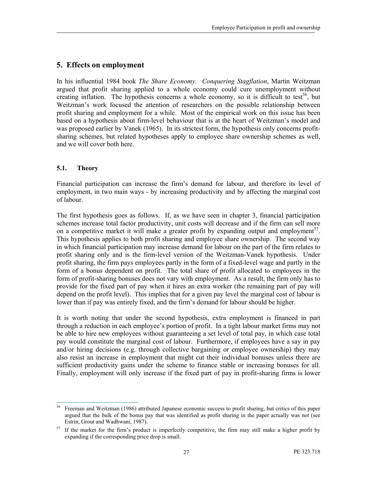#### 5. Effects on employment

In his influential 1984 book *The Share Economy. Conquering Stagflation*, Martin Weitzman argued that profit sharing applied to a whole economy could cure unemployment without creating inflation. The hypothesis concerns a whole economy, so it is difficult to test<sup>56</sup>, but Weitzman's work focused the attention of researchers on the possible relationship between profit sharing and employment for a while. Most of the empirical work on this issue has been based on a hypothesis about firm-level behaviour that is at the heart of Weitzman's model and was proposed earlier by Vanek (1965). In its strictest form, the hypothesis only concerns profitsharing schemes, but related hypotheses apply to employee share ownership schemes as well, and we will cover both here.

#### 5.1. Theory

Financial participation can increase the firm's demand for labour, and therefore its level of employment, in two main ways - by increasing productivity and by affecting the marginal cost of labour.

The first hypothesis goes as follows. If, as we have seen in chapter 3, financial participation schemes increase total factor productivity, unit costs will decrease and if the firm can sell more on a competitive market it will make a greater profit by expanding output and employment<sup>57</sup>. This hypothesis applies to both profit sharing and employee share ownership. The second way in which financial participation may increase demand for labour on the part of the firm relates to profit sharing only and is the firm-level version of the Weitzman-Vanek hypothesis. Under profit sharing, the firm pays employees partly in the form of a fixed-level wage and partly in the form of a bonus dependent on profit. The total share of profit allocated to employees in the form of profit-sharing bonuses does not vary with employment. As a result, the firm only has to provide for the fixed part of pay when it hires an extra worker (the remaining part of pay will depend on the profit level). This implies that for a given pay level the marginal cost of labour is lower than if pay was entirely fixed, and the firm's demand for labour should be higher.

It is worth noting that under the second hypothesis, extra employment is financed in part through a reduction in each employee's portion of profit. In a tight labour market firms may not be able to hire new employees without guaranteeing a set level of total pay, in which case total pay would constitute the marginal cost of labour. Furthermore, if employees have a say in pay and/or hiring decisions (e.g. through collective bargaining or employee ownership) they may also resist an increase in employment that might cut their individual bonuses unless there are sufficient productivity gains under the scheme to finance stable or increasing bonuses for all. Finally, employment will only increase if the fixed part of pay in profit-sharing firms is lower

<sup>56</sup> <sup>56</sup> Freeman and Weitzman (1986) attributed Japanese economic success to profit sharing, but critics of this paper argued that the bulk of the bonus pay that was identified as profit sharing in the paper actually was not (see Estrin, Grout and Wadhwani, 1987).

 $57$  If the market for the firm's product is imperfectly competitive, the firm may still make a higher profit by expanding if the corresponding price drop is small.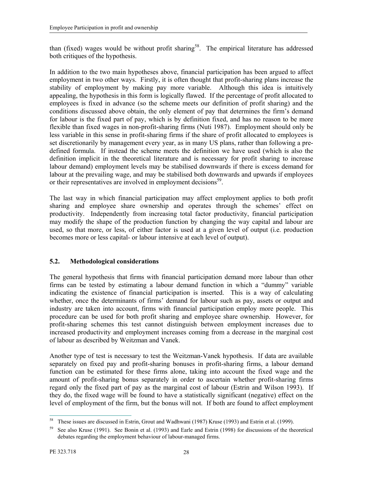than (fixed) wages would be without profit sharing<sup>58</sup>. The empirical literature has addressed both critiques of the hypothesis.

In addition to the two main hypotheses above, financial participation has been argued to affect employment in two other ways. Firstly, it is often thought that profit-sharing plans increase the stability of employment by making pay more variable. Although this idea is intuitively appealing, the hypothesis in this form is logically flawed. If the percentage of profit allocated to employees is fixed in advance (so the scheme meets our definition of profit sharing) and the conditions discussed above obtain, the only element of pay that determines the firm's demand for labour is the fixed part of pay, which is by definition fixed, and has no reason to be more flexible than fixed wages in non-profit-sharing firms (Nuti 1987). Employment should only be less variable in this sense in profit-sharing firms if the share of profit allocated to employees is set discretionarily by management every year, as in many US plans, rather than following a predefined formula. If instead the scheme meets the definition we have used (which is also the definition implicit in the theoretical literature and is necessary for profit sharing to increase labour demand) employment levels may be stabilised downwards if there is excess demand for labour at the prevailing wage, and may be stabilised both downwards and upwards if employees or their representatives are involved in employment decisions<sup>59</sup>.

The last way in which financial participation may affect employment applies to both profit sharing and employee share ownership and operates through the schemes' effect on productivity. Independently from increasing total factor productivity, financial participation may modify the shape of the production function by changing the way capital and labour are used, so that more, or less, of either factor is used at a given level of output (i.e. production becomes more or less capital- or labour intensive at each level of output).

#### 5.2. Methodological considerations

The general hypothesis that firms with financial participation demand more labour than other firms can be tested by estimating a labour demand function in which a "dummy" variable indicating the existence of financial participation is inserted. This is a way of calculating whether, once the determinants of firms' demand for labour such as pay, assets or output and industry are taken into account, firms with financial participation employ more people. This procedure can be used for both profit sharing and employee share ownership. However, for profit-sharing schemes this test cannot distinguish between employment increases due to increased productivity and employment increases coming from a decrease in the marginal cost of labour as described by Weitzman and Vanek.

Another type of test is necessary to test the Weitzman-Vanek hypothesis. If data are available separately on fixed pay and profit-sharing bonuses in profit-sharing firms, a labour demand function can be estimated for these firms alone, taking into account the fixed wage and the amount of profit-sharing bonus separately in order to ascertain whether profit-sharing firms regard only the fixed part of pay as the marginal cost of labour (Estrin and Wilson 1993). If they do, the fixed wage will be found to have a statistically significant (negative) effect on the level of employment of the firm, but the bonus will not. If both are found to affect employment

 $\overline{a}$ <sup>58</sup> These issues are discussed in Estrin, Grout and Wadhwani (1987) Kruse (1993) and Estrin et al. (1999).

<sup>&</sup>lt;sup>59</sup> See also Kruse (1991). See Bonin et al. (1993) and Earle and Estrin (1998) for discussions of the theoretical debates regarding the employment behaviour of labour-managed firms.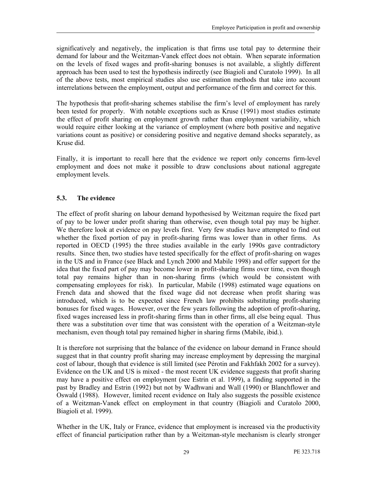significatively and negatively, the implication is that firms use total pay to determine their demand for labour and the Weitzman-Vanek effect does not obtain. When separate information on the levels of fixed wages and profit-sharing bonuses is not available, a slightly different approach has been used to test the hypothesis indirectly (see Biagioli and Curatolo 1999). In all of the above tests, most empirical studies also use estimation methods that take into account interrelations between the employment, output and performance of the firm and correct for this.

The hypothesis that profit-sharing schemes stabilise the firm's level of employment has rarely been tested for properly. With notable exceptions such as Kruse (1991) most studies estimate the effect of profit sharing on employment growth rather than employment variability, which would require either looking at the variance of employment (where both positive and negative variations count as positive) or considering positive and negative demand shocks separately, as Kruse did.

Finally, it is important to recall here that the evidence we report only concerns firm-level employment and does not make it possible to draw conclusions about national aggregate employment levels.

#### 5.3. The evidence

The effect of profit sharing on labour demand hypothesised by Weitzman require the fixed part of pay to be lower under profit sharing than otherwise, even though total pay may be higher. We therefore look at evidence on pay levels first. Very few studies have attempted to find out whether the fixed portion of pay in profit-sharing firms was lower than in other firms. As reported in OECD (1995) the three studies available in the early 1990s gave contradictory results. Since then, two studies have tested specifically for the effect of profit-sharing on wages in the US and in France (see Black and Lynch 2000 and Mabile 1998) and offer support for the idea that the fixed part of pay may become lower in profit-sharing firms over time, even though total pay remains higher than in non-sharing firms (which would be consistent with compensating employees for risk). In particular, Mabile (1998) estimated wage equations on French data and showed that the fixed wage did not decrease when profit sharing was introduced, which is to be expected since French law prohibits substituting profit-sharing bonuses for fixed wages. However, over the few years following the adoption of profit-sharing, fixed wages increased less in profit-sharing firms than in other firms, all else being equal. Thus there was a substitution over time that was consistent with the operation of a Weitzman-style mechanism, even though total pay remained higher in sharing firms (Mabile, ibid.).

It is therefore not surprising that the balance of the evidence on labour demand in France should suggest that in that country profit sharing may increase employment by depressing the marginal cost of labour, though that evidence is still limited (see Pérotin and Fakhfakh 2002 for a survey). Evidence on the UK and US is mixed - the most recent UK evidence suggests that profit sharing may have a positive effect on employment (see Estrin et al. 1999), a finding supported in the past by Bradley and Estrin (1992) but not by Wadhwani and Wall (1990) or Blanchflower and Oswald (1988). However, limited recent evidence on Italy also suggests the possible existence of a Weitzman-Vanek effect on employment in that country (Biagioli and Curatolo 2000, Biagioli et al. 1999).

Whether in the UK, Italy or France, evidence that employment is increased via the productivity effect of financial participation rather than by a Weitzman-style mechanism is clearly stronger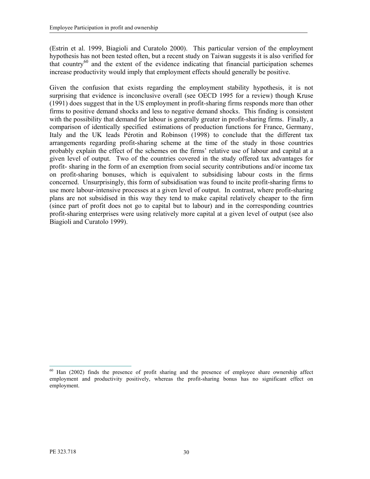(Estrin et al. 1999, Biagioli and Curatolo 2000). This particular version of the employment hypothesis has not been tested often, but a recent study on Taiwan suggests it is also verified for that country $^{60}$  and the extent of the evidence indicating that financial participation schemes increase productivity would imply that employment effects should generally be positive.

Given the confusion that exists regarding the employment stability hypothesis, it is not surprising that evidence is inconclusive overall (see OECD 1995 for a review) though Kruse (1991) does suggest that in the US employment in profit-sharing firms responds more than other firms to positive demand shocks and less to negative demand shocks. This finding is consistent with the possibility that demand for labour is generally greater in profit-sharing firms. Finally, a comparison of identically specified estimations of production functions for France, Germany, Italy and the UK leads Pérotin and Robinson (1998) to conclude that the different tax arrangements regarding profit-sharing scheme at the time of the study in those countries probably explain the effect of the schemes on the firms' relative use of labour and capital at a given level of output. Two of the countries covered in the study offered tax advantages for profit- sharing in the form of an exemption from social security contributions and/or income tax on profit-sharing bonuses, which is equivalent to subsidising labour costs in the firms concerned. Unsurprisingly, this form of subsidisation was found to incite profit-sharing firms to use more labour-intensive processes at a given level of output. In contrast, where profit-sharing plans are not subsidised in this way they tend to make capital relatively cheaper to the firm (since part of profit does not go to capital but to labour) and in the corresponding countries profit-sharing enterprises were using relatively more capital at a given level of output (see also Biagioli and Curatolo 1999).

 $\overline{a}$ <sup>60</sup> Han (2002) finds the presence of profit sharing and the presence of employee share ownership affect employment and productivity positively, whereas the profit-sharing bonus has no significant effect on employment.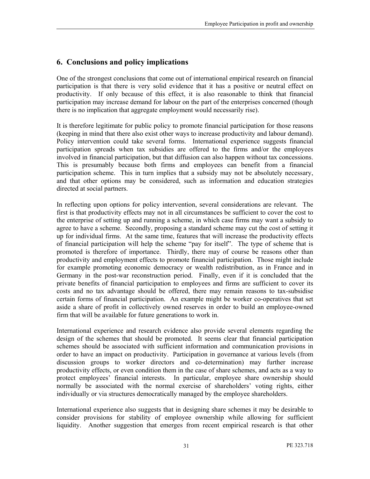# 6. Conclusions and policy implications

One of the strongest conclusions that come out of international empirical research on financial participation is that there is very solid evidence that it has a positive or neutral effect on productivity. If only because of this effect, it is also reasonable to think that financial participation may increase demand for labour on the part of the enterprises concerned (though there is no implication that aggregate employment would necessarily rise).

It is therefore legitimate for public policy to promote financial participation for those reasons (keeping in mind that there also exist other ways to increase productivity and labour demand). Policy intervention could take several forms. International experience suggests financial participation spreads when tax subsidies are offered to the firms and/or the employees involved in financial participation, but that diffusion can also happen without tax concessions. This is presumably because both firms and employees can benefit from a financial participation scheme. This in turn implies that a subsidy may not be absolutely necessary, and that other options may be considered, such as information and education strategies directed at social partners.

In reflecting upon options for policy intervention, several considerations are relevant. The first is that productivity effects may not in all circumstances be sufficient to cover the cost to the enterprise of setting up and running a scheme, in which case firms may want a subsidy to agree to have a scheme. Secondly, proposing a standard scheme may cut the cost of setting it up for individual firms. At the same time, features that will increase the productivity effects of financial participation will help the scheme "pay for itself". The type of scheme that is promoted is therefore of importance. Thirdly, there may of course be reasons other than productivity and employment effects to promote financial participation. Those might include for example promoting economic democracy or wealth redistribution, as in France and in Germany in the post-war reconstruction period. Finally, even if it is concluded that the private benefits of financial participation to employees and firms are sufficient to cover its costs and no tax advantage should be offered, there may remain reasons to tax-subsidise certain forms of financial participation. An example might be worker co-operatives that set aside a share of profit in collectively owned reserves in order to build an employee-owned firm that will be available for future generations to work in.

International experience and research evidence also provide several elements regarding the design of the schemes that should be promoted. It seems clear that financial participation schemes should be associated with sufficient information and communication provisions in order to have an impact on productivity. Participation in governance at various levels (from discussion groups to worker directors and co-determination) may further increase productivity effects, or even condition them in the case of share schemes, and acts as a way to protect employees' financial interests. In particular, employee share ownership should normally be associated with the normal exercise of shareholders' voting rights, either individually or via structures democratically managed by the employee shareholders.

International experience also suggests that in designing share schemes it may be desirable to consider provisions for stability of employee ownership while allowing for sufficient liquidity. Another suggestion that emerges from recent empirical research is that other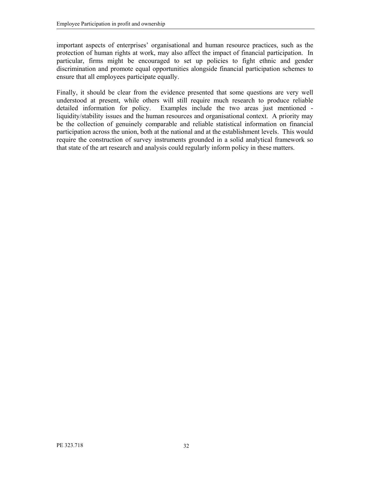important aspects of enterprises' organisational and human resource practices, such as the protection of human rights at work, may also affect the impact of financial participation. In particular, firms might be encouraged to set up policies to fight ethnic and gender discrimination and promote equal opportunities alongside financial participation schemes to ensure that all employees participate equally.

Finally, it should be clear from the evidence presented that some questions are very well understood at present, while others will still require much research to produce reliable detailed information for policy. Examples include the two areas just mentioned liquidity/stability issues and the human resources and organisational context. A priority may be the collection of genuinely comparable and reliable statistical information on financial participation across the union, both at the national and at the establishment levels. This would require the construction of survey instruments grounded in a solid analytical framework so that state of the art research and analysis could regularly inform policy in these matters.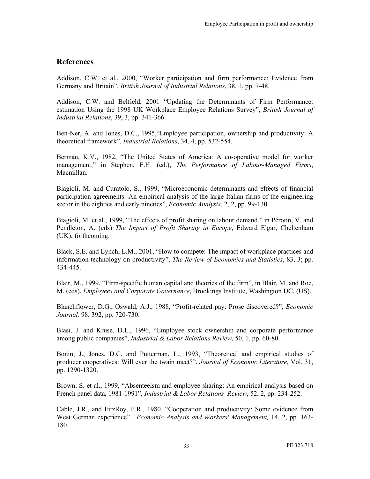#### References

Addison, C.W. et al., 2000, "Worker participation and firm performance: Evidence from Germany and Britain", British Journal of Industrial Relations, 38, 1, pp. 7-48.

Addison, C.W. and Belfield, 2001 "Updating the Determinants of Firm Performance: estimation Using the 1998 UK Workplace Employee Relations Survey", British Journal of Industrial Relations, 39, 3, pp. 341-366.

Ben-Ner, A. and Jones, D.C., 1995,"Employee participation, ownership and productivity: A theoretical framework", Industrial Relations, 34, 4, pp. 532-554.

Berman, K.V., 1982, "The United States of America: A co-operative model for worker management," in Stephen, F.H. (ed.), The Performance of Labour-Managed Firms, Macmillan.

Biagioli, M. and Curatolo, S., 1999, "Microeconomic determinants and effects of financial participation agreements: An empirical analysis of the large Italian firms of the engineering sector in the eighties and early nineties", *Economic Analysis*, 2, 2, pp. 99-130.

Biagioli, M. et al., 1999, "The effects of profit sharing on labour demand," in Pérotin, V. and Pendleton, A. (eds) The Impact of Profit Sharing in Europe, Edward Elgar, Cheltenham (UK), forthcoming.

Black, S.E. and Lynch, L.M., 2001, "How to compete: The impact of workplace practices and information technology on productivity", The Review of Economics and Statistics, 83, 3; pp. 434-445.

Blair, M., 1999, "Firm-specific human capital and theories of the firm", in Blair, M. and Roe, M. (eds), Employees and Corporate Governance, Brookings Institute, Washington DC, (US).

Blanchflower, D.G., Oswald, A.J., 1988, "Profit-related pay: Prose discovered?", Economic Journal, 98, 392, pp. 720-730.

Blasi, J. and Kruse, D.L., 1996, "Employee stock ownership and corporate performance among public companies", Industrial & Labor Relations Review, 50, 1, pp. 60-80.

Bonin, J., Jones, D.C. and Putterman, L., 1993, "Theoretical and empirical studies of producer cooperatives: Will ever the twain meet?", Journal of Economic Literature, Vol. 31, pp. 1290-1320.

Brown, S. et al., 1999, "Absenteeism and employee sharing: An empirical analysis based on French panel data, 1981-1991", *Industrial & Labor Relations Review*, 52, 2, pp. 234-252.

Cable, J.R., and FitzRoy, F.R., 1980, "Cooperation and productivity: Some evidence from West German experience", *Economic Analysis and Workers' Management*, 14, 2, pp. 163-180.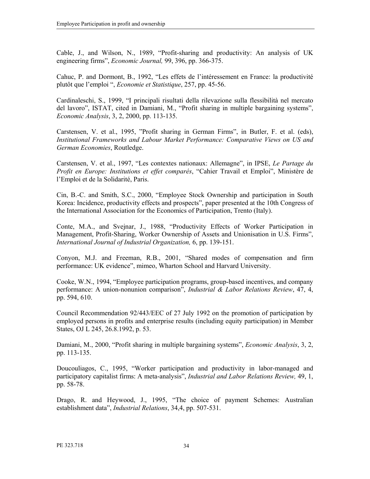Cable, J., and Wilson, N., 1989, "Profit-sharing and productivity: An analysis of UK engineering firms", Economic Journal, 99, 396, pp. 366-375.

Cahuc, P. and Dormont, B., 1992, "Les effets de l'intéressement en France: la productivité plutôt que l'emploi ", Economie et Statistique, 257, pp. 45-56.

Cardinaleschi, S., 1999, "I principali risultati della rilevazione sulla flessibilità nel mercato del lavoro", ISTAT, cited in Damiani, M., "Profit sharing in multiple bargaining systems", Economic Analysis, 3, 2, 2000, pp. 113-135.

Carstensen, V. et al., 1995, "Profit sharing in German Firms", in Butler, F. et al. (eds), Institutional Frameworks and Labour Market Performance: Comparative Views on US and German Economies, Routledge.

Carstensen, V. et al., 1997, "Les contextes nationaux: Allemagne", in IPSE, Le Partage du Profit en Europe: Institutions et effet comparés, "Cahier Travail et Emploi", Ministère de l'Emploi et de la Solidarité, Paris.

Cin, B.-C. and Smith, S.C., 2000, "Employee Stock Ownership and participation in South Korea: Incidence, productivity effects and prospects", paper presented at the 10th Congress of the International Association for the Economics of Participation, Trento (Italy).

Conte, M.A., and Svejnar, J., 1988, "Productivity Effects of Worker Participation in Management, Profit-Sharing, Worker Ownership of Assets and Unionisation in U.S. Firms", International Journal of Industrial Organization, 6, pp. 139-151.

Conyon, M.J. and Freeman, R.B., 2001, "Shared modes of compensation and firm performance: UK evidence", mimeo, Wharton School and Harvard University.

Cooke, W.N., 1994, "Employee participation programs, group-based incentives, and company performance: A union-nonunion comparison", Industrial & Labor Relations Review, 47, 4, pp. 594, 610.

Council Recommendation 92/443/EEC of 27 July 1992 on the promotion of participation by employed persons in profits and enterprise results (including equity participation) in Member States, OJ L 245, 26.8.1992, p. 53.

Damiani, M., 2000, "Profit sharing in multiple bargaining systems", *Economic Analysis*, 3, 2, pp. 113-135.

Doucouliagos, C., 1995, "Worker participation and productivity in labor-managed and participatory capitalist firms: A meta-analysis", Industrial and Labor Relations Review, 49, 1, pp. 58-78.

Drago, R. and Heywood, J., 1995, "The choice of payment Schemes: Australian establishment data", Industrial Relations, 34,4, pp. 507-531.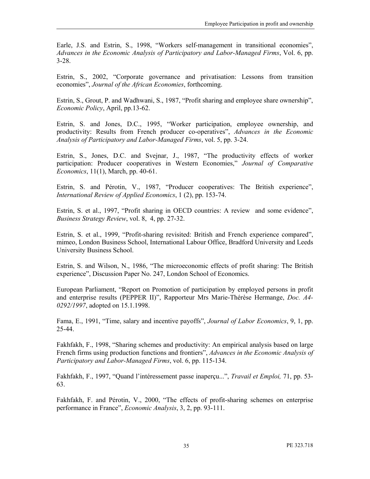Earle, J.S. and Estrin, S., 1998, "Workers self-management in transitional economies", Advances in the Economic Analysis of Participatory and Labor-Managed Firms, Vol. 6, pp. 3-28.

Estrin, S., 2002, "Corporate governance and privatisation: Lessons from transition economies", Journal of the African Economies, forthcoming.

Estrin, S., Grout, P. and Wadhwani, S., 1987, "Profit sharing and employee share ownership", Economic Policy, April, pp.13-62.

Estrin, S. and Jones, D.C., 1995, "Worker participation, employee ownership, and productivity: Results from French producer co-operatives", Advances in the Economic Analysis of Participatory and Labor-Managed Firms, vol. 5, pp. 3-24.

Estrin, S., Jones, D.C. and Svejnar, J., 1987, "The productivity effects of worker participation: Producer cooperatives in Western Economies," Journal of Comparative Economics, 11(1), March, pp. 40-61.

Estrin, S. and Pérotin, V., 1987, "Producer cooperatives: The British experience", International Review of Applied Economics, 1 (2), pp. 153-74.

Estrin, S. et al., 1997, "Profit sharing in OECD countries: A review and some evidence", Business Strategy Review, vol. 8, 4, pp. 27-32.

Estrin, S. et al., 1999, "Profit-sharing revisited: British and French experience compared", mimeo, London Business School, International Labour Office, Bradford University and Leeds University Business School.

Estrin, S. and Wilson, N., 1986, "The microeconomic effects of profit sharing: The British experience", Discussion Paper No. 247, London School of Economics.

European Parliament, "Report on Promotion of participation by employed persons in profit and enterprise results (PEPPER II)", Rapporteur Mrs Marie-Thérèse Hermange, Doc. A4- 0292/1997, adopted on 15.1.1998.

Fama, E., 1991, "Time, salary and incentive payoffs", Journal of Labor Economics, 9, 1, pp. 25-44.

Fakhfakh, F., 1998, "Sharing schemes and productivity: An empirical analysis based on large French firms using production functions and frontiers", Advances in the Economic Analysis of Participatory and Labor-Managed Firms, vol. 6, pp. 115-134.

Fakhfakh, F., 1997, "Quand l'intéressement passe inaperçu...", Travail et Emploi, 71, pp. 53- 63.

Fakhfakh, F. and Pérotin, V., 2000, "The effects of profit-sharing schemes on enterprise performance in France", Economic Analysis, 3, 2, pp. 93-111.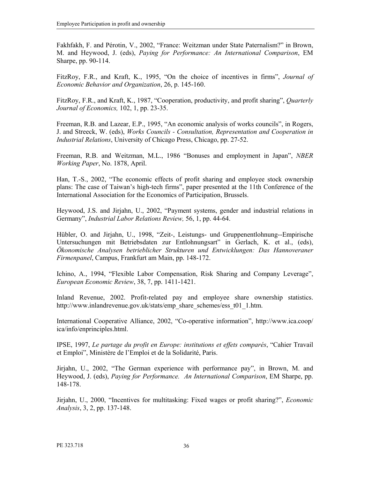Fakhfakh, F. and Pérotin, V., 2002, "France: Weitzman under State Paternalism?" in Brown, M. and Heywood, J. (eds), Paying for Performance: An International Comparison, EM Sharpe, pp. 90-114.

FitzRoy, F.R., and Kraft, K., 1995, "On the choice of incentives in firms", Journal of Economic Behavior and Organization, 26, p. 145-160.

FitzRoy, F.R., and Kraft, K., 1987, "Cooperation, productivity, and profit sharing", Quarterly Journal of Economics, 102, 1, pp. 23-35.

Freeman, R.B. and Lazear, E.P., 1995, "An economic analysis of works councils", in Rogers, J. and Streeck, W. (eds), Works Councils - Consultation, Representation and Cooperation in Industrial Relations, University of Chicago Press, Chicago, pp. 27-52.

Freeman, R.B. and Weitzman, M.L., 1986 "Bonuses and employment in Japan", NBER Working Paper, No. 1878, April.

Han, T.-S., 2002, "The economic effects of profit sharing and employee stock ownership plans: The case of Taiwan's high-tech firms", paper presented at the 11th Conference of the International Association for the Economics of Participation, Brussels.

Heywood, J.S. and Jirjahn, U., 2002, "Payment systems, gender and industrial relations in Germany", Industrial Labor Relations Review, 56, 1, pp. 44-64.

Hübler, O. and Jirjahn, U., 1998, "Zeit-, Leistungs- und Gruppenentlohnung--Empirische Untersuchungen mit Betriebsdaten zur Entlohnungsart" in Gerlach, K. et al., (eds), Ökonomische Analysen betrieblicher Strukturen und Entwicklungen: Das Hannoveraner Firmenpanel, Campus, Frankfurt am Main, pp. 148-172.

Ichino, A., 1994, "Flexible Labor Compensation, Risk Sharing and Company Leverage", European Economic Review, 38, 7, pp. 1411-1421.

Inland Revenue, 2002. Profit-related pay and employee share ownership statistics. http://www.inlandrevenue.gov.uk/stats/emp\_share\_schemes/ess\_t01\_1.htm.

International Cooperative Alliance, 2002, "Co-operative information", http://www.ica.coop/ ica/info/enprinciples.html.

IPSE, 1997, Le partage du profit en Europe: institutions et effets comparés, "Cahier Travail et Emploi", Ministère de l'Emploi et de la Solidarité, Paris.

Jirjahn, U., 2002, "The German experience with performance pay", in Brown, M. and Heywood, J. (eds), Paying for Performance. An International Comparison, EM Sharpe, pp. 148-178.

Jirjahn, U., 2000, "Incentives for multitasking: Fixed wages or profit sharing?", Economic Analysis, 3, 2, pp. 137-148.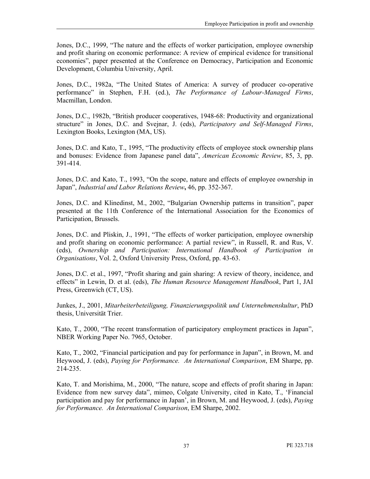Jones, D.C., 1999, "The nature and the effects of worker participation, employee ownership and profit sharing on economic performance: A review of empirical evidence for transitional economies", paper presented at the Conference on Democracy, Participation and Economic Development, Columbia University, April.

Jones, D.C., 1982a, "The United States of America: A survey of producer co-operative performance" in Stephen, F.H. (ed.), The Performance of Labour-Managed Firms, Macmillan, London.

Jones, D.C., 1982b, "British producer cooperatives, 1948-68: Productivity and organizational structure" in Jones, D.C. and Svejnar, J. (eds), Participatory and Self-Managed Firms, Lexington Books, Lexington (MA, US).

Jones, D.C. and Kato, T., 1995, "The productivity effects of employee stock ownership plans and bonuses: Evidence from Japanese panel data", American Economic Review, 85, 3, pp. 391-414.

Jones, D.C. and Kato, T., 1993, "On the scope, nature and effects of employee ownership in Japan", Industrial and Labor Relations Review, 46, pp. 352-367.

Jones, D.C. and Klinedinst, M., 2002, "Bulgarian Ownership patterns in transition", paper presented at the 11th Conference of the International Association for the Economics of Participation, Brussels.

Jones, D.C. and Pliskin, J., 1991, "The effects of worker participation, employee ownership and profit sharing on economic performance: A partial review", in Russell, R. and Rus, V. (eds), Ownership and Participation: International Handbook of Participation in Organisations, Vol. 2, Oxford University Press, Oxford, pp. 43-63.

Jones, D.C. et al., 1997, "Profit sharing and gain sharing: A review of theory, incidence, and effects" in Lewin, D. et al. (eds), The Human Resource Management Handbook, Part 1, JAI Press, Greenwich (CT, US).

Junkes, J., 2001, Mitarbeiterbeteiligung, Finanzierungspolitik und Unternehmenskultur, PhD thesis, Universität Trier.

Kato, T., 2000, "The recent transformation of participatory employment practices in Japan", NBER Working Paper No. 7965, October.

Kato, T., 2002, "Financial participation and pay for performance in Japan", in Brown, M. and Heywood, J. (eds), Paying for Performance. An International Comparison, EM Sharpe, pp. 214-235.

Kato, T. and Morishima, M., 2000, "The nature, scope and effects of profit sharing in Japan: Evidence from new survey data", mimeo, Colgate University, cited in Kato, T., 'Financial participation and pay for performance in Japan', in Brown, M. and Heywood, J. (eds), Paying for Performance. An International Comparison, EM Sharpe, 2002.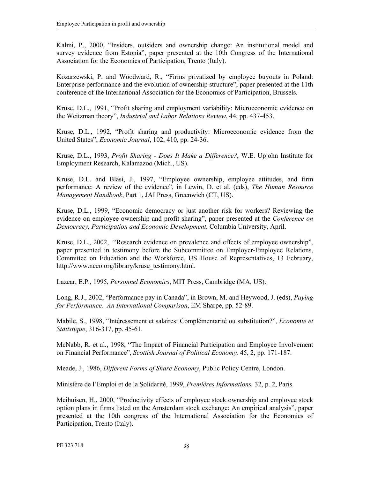Kalmi, P., 2000, "Insiders, outsiders and ownership change: An institutional model and survey evidence from Estonia", paper presented at the 10th Congress of the International Association for the Economics of Participation, Trento (Italy).

Kozarzewski, P. and Woodward, R., "Firms privatized by employee buyouts in Poland: Enterprise performance and the evolution of ownership structure", paper presented at the 11th conference of the International Association for the Economics of Participation, Brussels.

Kruse, D.L., 1991, "Profit sharing and employment variability: Microeconomic evidence on the Weitzman theory", Industrial and Labor Relations Review, 44, pp. 437-453.

Kruse, D.L., 1992, "Profit sharing and productivity: Microeconomic evidence from the United States", Economic Journal, 102, 410, pp. 24-36.

Kruse, D.L., 1993, Profit Sharing - Does It Make a Difference?, W.E. Upjohn Institute for Employment Research, Kalamazoo (Mich., US).

Kruse, D.L. and Blasi, J., 1997, "Employee ownership, employee attitudes, and firm performance: A review of the evidence", in Lewin, D. et al. (eds), The Human Resource Management Handbook, Part 1, JAI Press, Greenwich (CT, US).

Kruse, D.L., 1999, "Economic democracy or just another risk for workers? Reviewing the evidence on employee ownership and profit sharing", paper presented at the Conference on Democracy, Participation and Economic Development, Columbia University, April.

Kruse, D.L., 2002, "Research evidence on prevalence and effects of employee ownership", paper presented in testimony before the Subcommittee on Employer-Employee Relations, Committee on Education and the Workforce, US House of Representatives, 13 February, http://www.nceo.org/library/kruse\_testimony.html.

Lazear, E.P., 1995, Personnel Economics, MIT Press, Cambridge (MA, US).

Long, R.J., 2002, "Performance pay in Canada", in Brown, M. and Heywood, J. (eds), Paying for Performance. An International Comparison, EM Sharpe, pp. 52-89.

Mabile, S., 1998, "Intéressement et salaires: Complémentarité ou substitution?", Economie et Statistique, 316-317, pp. 45-61.

McNabb, R. et al., 1998, "The Impact of Financial Participation and Employee Involvement on Financial Performance", Scottish Journal of Political Economy, 45, 2, pp. 171-187.

Meade, J., 1986, *Different Forms of Share Economy*, Public Policy Centre, London.

Ministère de l'Emploi et de la Solidarité, 1999, Premières Informations, 32, p. 2, Paris.

Meihuisen, H., 2000, "Productivity effects of employee stock ownership and employee stock option plans in firms listed on the Amsterdam stock exchange: An empirical analysis", paper presented at the 10th congress of the International Association for the Economics of Participation, Trento (Italy).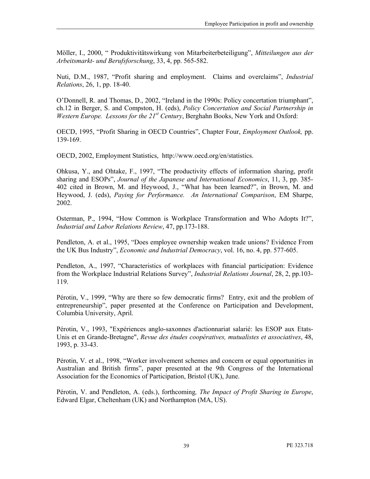Möller, I., 2000, "Produktivitätswirkung von Mitarbeiterbeteiligung", Mitteilungen aus der Arbeitsmarkt- und Berufsforschung, 33, 4, pp. 565-582.

Nuti, D.M., 1987, "Profit sharing and employment. Claims and overclaims", Industrial Relations, 26, 1, pp. 18-40.

O'Donnell, R. and Thomas, D., 2002, "Ireland in the 1990s: Policy concertation triumphant", ch.12 in Berger, S. and Compston, H. (eds), Policy Concertation and Social Partnership in Western Europe. Lessons for the  $21^{st}$  Century, Berghahn Books, New York and Oxford:

OECD, 1995, "Profit Sharing in OECD Countries", Chapter Four, Employment Outlook, pp. 139-169.

OECD, 2002, Employment Statistics, http://www.oecd.org/en/statistics.

Ohkusa, Y., and Ohtake, F., 1997, "The productivity effects of information sharing, profit sharing and ESOPs", Journal of the Japanese and International Economics, 11, 3, pp. 385- 402 cited in Brown, M. and Heywood, J., "What has been learned?", in Brown, M. and Heywood, J. (eds), Paying for Performance. An International Comparison, EM Sharpe, 2002.

Osterman, P., 1994, "How Common is Workplace Transformation and Who Adopts It?", Industrial and Labor Relations Review, 47, pp.173-188.

Pendleton, A. et al., 1995, "Does employee ownership weaken trade unions? Evidence From the UK Bus Industry", Economic and Industrial Democracy, vol. 16, no. 4, pp. 577-605.

Pendleton, A., 1997, "Characteristics of workplaces with financial participation: Evidence from the Workplace Industrial Relations Survey", Industrial Relations Journal, 28, 2, pp.103- 119.

Pérotin, V., 1999, "Why are there so few democratic firms? Entry, exit and the problem of entrepreneurship", paper presented at the Conference on Participation and Development, Columbia University, April.

Pérotin, V., 1993, "Expériences anglo-saxonnes d'actionnariat salarié: les ESOP aux Etats-Unis et en Grande-Bretagne", Revue des études coopératives, mutualistes et associatives, 48, 1993, p. 33-43.

Pérotin, V. et al., 1998, "Worker involvement schemes and concern or equal opportunities in Australian and British firms", paper presented at the 9th Congress of the International Association for the Economics of Participation, Bristol (UK), June.

Pérotin, V. and Pendleton, A. (eds.), forthcoming, The Impact of Profit Sharing in Europe, Edward Elgar, Cheltenham (UK) and Northampton (MA, US).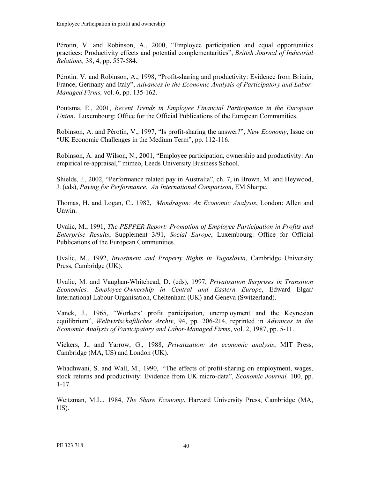Pérotin, V. and Robinson, A., 2000, "Employee participation and equal opportunities practices: Productivity effects and potential complementarities", British Journal of Industrial Relations, 38, 4, pp. 557-584.

Pérotin. V. and Robinson, A., 1998, "Profit-sharing and productivity: Evidence from Britain, France, Germany and Italy", Advances in the Economic Analysis of Participatory and Labor-Managed Firms, vol. 6, pp. 135-162.

Poutsma, E., 2001, Recent Trends in Employee Financial Participation in the European Union. Luxembourg: Office for the Official Publications of the European Communities.

Robinson, A. and Pérotin, V., 1997, "Is profit-sharing the answer?", New Economy, Issue on "UK Economic Challenges in the Medium Term", pp. 112-116.

Robinson, A. and Wilson, N., 2001, "Employee participation, ownership and productivity: An empirical re-appraisal," mimeo, Leeds University Business School.

Shields, J., 2002, "Performance related pay in Australia", ch. 7, in Brown, M. and Heywood, J. (eds), Paying for Performance. An International Comparison, EM Sharpe.

Thomas, H. and Logan, C., 1982, Mondragon: An Economic Analysis, London: Allen and Unwin.

Uvalic, M., 1991, The PEPPER Report: Promotion of Employee Participation in Profits and Enterprise Results, Supplement 3/91, Social Europe, Luxembourg: Office for Official Publications of the European Communities.

Uvalic, M., 1992, Investment and Property Rights in Yugoslavia, Cambridge University Press, Cambridge (UK).

Uvalic, M. and Vaughan-Whitehead, D. (eds), 1997, Privatisation Surprises in Transition Economies: Employee-Ownership in Central and Eastern Europe, Edward Elgar/ International Labour Organisation, Cheltenham (UK) and Geneva (Switzerland).

Vanek, J., 1965, "Workers' profit participation, unemployment and the Keynesian equilibrium", *Weltwirtschaftliches Archiv*, 94, pp. 206-214, reprinted in Advances in the Economic Analysis of Participatory and Labor-Managed Firms, vol. 2, 1987, pp. 5-11.

Vickers, J., and Yarrow, G., 1988, Privatization: An economic analysis, MIT Press, Cambridge (MA, US) and London (UK).

Whadhwani, S. and Wall, M., 1990, "The effects of profit-sharing on employment, wages, stock returns and productivity: Evidence from UK micro-data", Economic Journal, 100, pp. 1-17.

Weitzman, M.L., 1984, The Share Economy, Harvard University Press, Cambridge (MA, US).